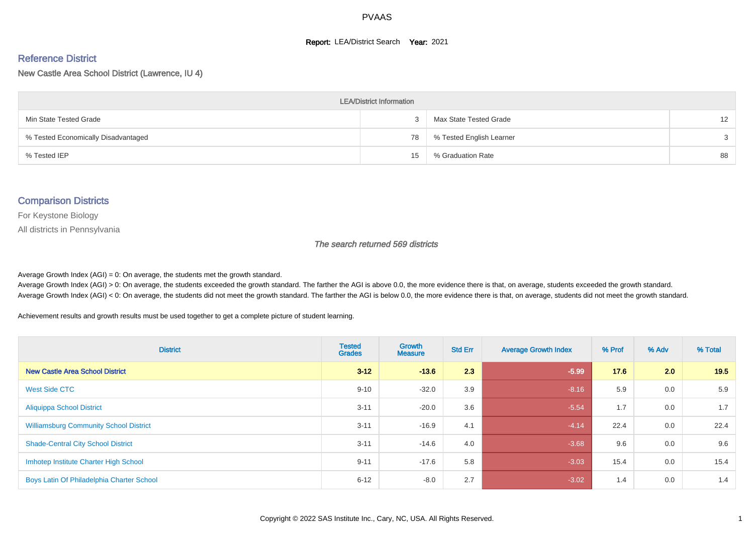#### **Report: LEA/District Search Year: 2021**

#### Reference District

New Castle Area School District (Lawrence, IU 4)

| <b>LEA/District Information</b>     |    |                          |    |  |  |  |  |  |  |  |
|-------------------------------------|----|--------------------------|----|--|--|--|--|--|--|--|
| Min State Tested Grade              |    | Max State Tested Grade   | 12 |  |  |  |  |  |  |  |
| % Tested Economically Disadvantaged | 78 | % Tested English Learner | 3  |  |  |  |  |  |  |  |
| % Tested IEP                        | 15 | % Graduation Rate        | 88 |  |  |  |  |  |  |  |

#### Comparison Districts

For Keystone Biology

All districts in Pennsylvania

The search returned 569 districts

Average Growth Index  $(AGI) = 0$ : On average, the students met the growth standard.

Average Growth Index (AGI) > 0: On average, the students exceeded the growth standard. The farther the AGI is above 0.0, the more evidence there is that, on average, students exceeded the growth standard. Average Growth Index (AGI) < 0: On average, the students did not meet the growth standard. The farther the AGI is below 0.0, the more evidence there is that, on average, students did not meet the growth standard.

Achievement results and growth results must be used together to get a complete picture of student learning.

| <b>District</b>                               | <b>Tested</b><br><b>Grades</b> | Growth<br><b>Measure</b> | <b>Std Err</b> | <b>Average Growth Index</b> | % Prof | % Adv | % Total |
|-----------------------------------------------|--------------------------------|--------------------------|----------------|-----------------------------|--------|-------|---------|
| <b>New Castle Area School District</b>        | $3 - 12$                       | $-13.6$                  | 2.3            | $-5.99$                     | 17.6   | 2.0   | 19.5    |
| West Side CTC                                 | $9 - 10$                       | $-32.0$                  | 3.9            | $-8.16$                     | 5.9    | 0.0   | 5.9     |
| <b>Aliquippa School District</b>              | $3 - 11$                       | $-20.0$                  | 3.6            | $-5.54$                     | 1.7    | 0.0   | 1.7     |
| <b>Williamsburg Community School District</b> | $3 - 11$                       | $-16.9$                  | 4.1            | $-4.14$                     | 22.4   | 0.0   | 22.4    |
| <b>Shade-Central City School District</b>     | $3 - 11$                       | $-14.6$                  | 4.0            | $-3.68$                     | 9.6    | 0.0   | 9.6     |
| Imhotep Institute Charter High School         | $9 - 11$                       | $-17.6$                  | 5.8            | $-3.03$                     | 15.4   | 0.0   | 15.4    |
| Boys Latin Of Philadelphia Charter School     | $6 - 12$                       | $-8.0$                   | 2.7            | $-3.02$                     | 1.4    | 0.0   | 1.4     |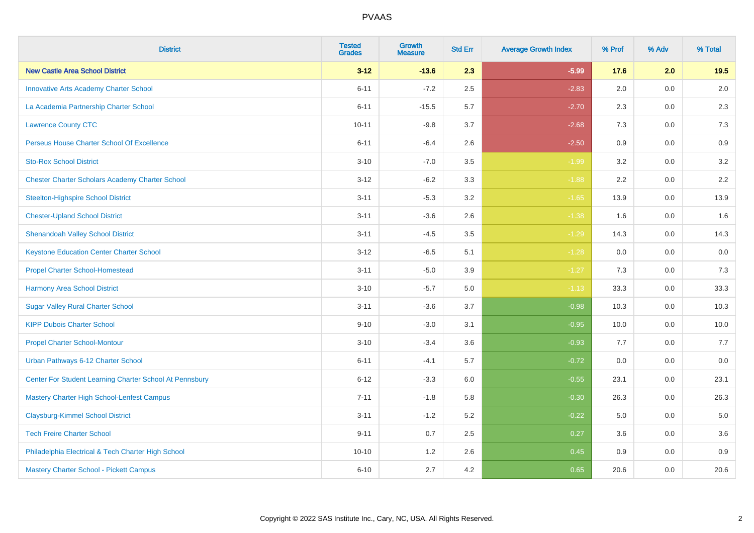| <b>District</b>                                         | <b>Tested</b><br><b>Grades</b> | <b>Growth</b><br><b>Measure</b> | <b>Std Err</b> | <b>Average Growth Index</b> | % Prof | % Adv | % Total |
|---------------------------------------------------------|--------------------------------|---------------------------------|----------------|-----------------------------|--------|-------|---------|
| <b>New Castle Area School District</b>                  | $3 - 12$                       | $-13.6$                         | 2.3            | $-5.99$                     | 17.6   | 2.0   | 19.5    |
| <b>Innovative Arts Academy Charter School</b>           | $6 - 11$                       | $-7.2$                          | 2.5            | $-2.83$                     | 2.0    | 0.0   | $2.0\,$ |
| La Academia Partnership Charter School                  | $6 - 11$                       | $-15.5$                         | 5.7            | $-2.70$                     | 2.3    | 0.0   | 2.3     |
| <b>Lawrence County CTC</b>                              | $10 - 11$                      | $-9.8$                          | 3.7            | $-2.68$                     | 7.3    | 0.0   | 7.3     |
| Perseus House Charter School Of Excellence              | $6 - 11$                       | $-6.4$                          | 2.6            | $-2.50$                     | 0.9    | 0.0   | 0.9     |
| <b>Sto-Rox School District</b>                          | $3 - 10$                       | $-7.0$                          | 3.5            | $-1.99$                     | 3.2    | 0.0   | $3.2\,$ |
| <b>Chester Charter Scholars Academy Charter School</b>  | $3 - 12$                       | $-6.2$                          | 3.3            | $-1.88$                     | 2.2    | 0.0   | 2.2     |
| <b>Steelton-Highspire School District</b>               | $3 - 11$                       | $-5.3$                          | 3.2            | $-1.65$                     | 13.9   | 0.0   | 13.9    |
| <b>Chester-Upland School District</b>                   | $3 - 11$                       | $-3.6$                          | 2.6            | $-1.38$                     | 1.6    | 0.0   | 1.6     |
| <b>Shenandoah Valley School District</b>                | $3 - 11$                       | $-4.5$                          | $3.5\,$        | $-1.29$                     | 14.3   | 0.0   | 14.3    |
| <b>Keystone Education Center Charter School</b>         | $3 - 12$                       | $-6.5$                          | 5.1            | $-1.28$                     | 0.0    | 0.0   | 0.0     |
| <b>Propel Charter School-Homestead</b>                  | $3 - 11$                       | $-5.0$                          | 3.9            | $-1.27$                     | 7.3    | 0.0   | $7.3$   |
| <b>Harmony Area School District</b>                     | $3 - 10$                       | $-5.7$                          | $5.0\,$        | $-1.13$                     | 33.3   | 0.0   | 33.3    |
| <b>Sugar Valley Rural Charter School</b>                | $3 - 11$                       | $-3.6$                          | 3.7            | $-0.98$                     | 10.3   | 0.0   | 10.3    |
| <b>KIPP Dubois Charter School</b>                       | $9 - 10$                       | $-3.0$                          | 3.1            | $-0.95$                     | 10.0   | 0.0   | 10.0    |
| <b>Propel Charter School-Montour</b>                    | $3 - 10$                       | $-3.4$                          | 3.6            | $-0.93$                     | 7.7    | 0.0   | 7.7     |
| Urban Pathways 6-12 Charter School                      | $6 - 11$                       | $-4.1$                          | 5.7            | $-0.72$                     | 0.0    | 0.0   | $0.0\,$ |
| Center For Student Learning Charter School At Pennsbury | $6 - 12$                       | $-3.3$                          | 6.0            | $-0.55$                     | 23.1   | 0.0   | 23.1    |
| Mastery Charter High School-Lenfest Campus              | $7 - 11$                       | $-1.8$                          | 5.8            | $-0.30$                     | 26.3   | 0.0   | 26.3    |
| <b>Claysburg-Kimmel School District</b>                 | $3 - 11$                       | $-1.2$                          | 5.2            | $-0.22$                     | 5.0    | 0.0   | 5.0     |
| <b>Tech Freire Charter School</b>                       | $9 - 11$                       | 0.7                             | 2.5            | 0.27                        | 3.6    | 0.0   | 3.6     |
| Philadelphia Electrical & Tech Charter High School      | $10 - 10$                      | 1.2                             | 2.6            | 0.45                        | 0.9    | 0.0   | 0.9     |
| Mastery Charter School - Pickett Campus                 | $6 - 10$                       | 2.7                             | 4.2            | 0.65                        | 20.6   | 0.0   | 20.6    |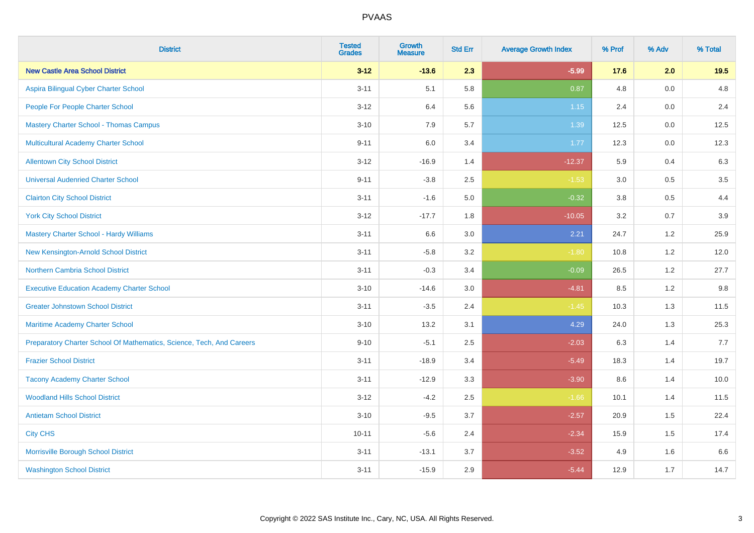| <b>District</b>                                                       | <b>Tested</b><br><b>Grades</b> | <b>Growth</b><br><b>Measure</b> | <b>Std Err</b> | <b>Average Growth Index</b> | % Prof | % Adv   | % Total |
|-----------------------------------------------------------------------|--------------------------------|---------------------------------|----------------|-----------------------------|--------|---------|---------|
| <b>New Castle Area School District</b>                                | $3 - 12$                       | $-13.6$                         | 2.3            | $-5.99$                     | 17.6   | 2.0     | 19.5    |
| Aspira Bilingual Cyber Charter School                                 | $3 - 11$                       | 5.1                             | 5.8            | 0.87                        | 4.8    | 0.0     | 4.8     |
| People For People Charter School                                      | $3 - 12$                       | 6.4                             | 5.6            | 1.15                        | 2.4    | 0.0     | 2.4     |
| <b>Mastery Charter School - Thomas Campus</b>                         | $3 - 10$                       | 7.9                             | 5.7            | 1.39                        | 12.5   | $0.0\,$ | 12.5    |
| Multicultural Academy Charter School                                  | $9 - 11$                       | 6.0                             | 3.4            | 1.77                        | 12.3   | 0.0     | 12.3    |
| <b>Allentown City School District</b>                                 | $3 - 12$                       | $-16.9$                         | 1.4            | $-12.37$                    | 5.9    | 0.4     | 6.3     |
| <b>Universal Audenried Charter School</b>                             | $9 - 11$                       | $-3.8$                          | 2.5            | $-1.53$                     | 3.0    | 0.5     | 3.5     |
| <b>Clairton City School District</b>                                  | $3 - 11$                       | $-1.6$                          | $5.0\,$        | $-0.32$                     | 3.8    | 0.5     | 4.4     |
| <b>York City School District</b>                                      | $3 - 12$                       | $-17.7$                         | 1.8            | $-10.05$                    | 3.2    | 0.7     | 3.9     |
| <b>Mastery Charter School - Hardy Williams</b>                        | $3 - 11$                       | 6.6                             | 3.0            | 2.21                        | 24.7   | 1.2     | 25.9    |
| New Kensington-Arnold School District                                 | $3 - 11$                       | $-5.8$                          | 3.2            | $-1.80$                     | 10.8   | 1.2     | 12.0    |
| <b>Northern Cambria School District</b>                               | $3 - 11$                       | $-0.3$                          | 3.4            | $-0.09$                     | 26.5   | 1.2     | 27.7    |
| <b>Executive Education Academy Charter School</b>                     | $3 - 10$                       | $-14.6$                         | 3.0            | $-4.81$                     | 8.5    | 1.2     | 9.8     |
| <b>Greater Johnstown School District</b>                              | $3 - 11$                       | $-3.5$                          | 2.4            | $-1.45$                     | 10.3   | 1.3     | 11.5    |
| Maritime Academy Charter School                                       | $3 - 10$                       | 13.2                            | 3.1            | 4.29                        | 24.0   | 1.3     | 25.3    |
| Preparatory Charter School Of Mathematics, Science, Tech, And Careers | $9 - 10$                       | $-5.1$                          | 2.5            | $-2.03$                     | 6.3    | 1.4     | 7.7     |
| <b>Frazier School District</b>                                        | $3 - 11$                       | $-18.9$                         | 3.4            | $-5.49$                     | 18.3   | 1.4     | 19.7    |
| <b>Tacony Academy Charter School</b>                                  | $3 - 11$                       | $-12.9$                         | 3.3            | $-3.90$                     | 8.6    | 1.4     | 10.0    |
| <b>Woodland Hills School District</b>                                 | $3 - 12$                       | $-4.2$                          | 2.5            | $-1.66$                     | 10.1   | 1.4     | 11.5    |
| <b>Antietam School District</b>                                       | $3 - 10$                       | $-9.5$                          | 3.7            | $-2.57$                     | 20.9   | 1.5     | 22.4    |
| <b>City CHS</b>                                                       | $10 - 11$                      | $-5.6$                          | 2.4            | $-2.34$                     | 15.9   | 1.5     | 17.4    |
| Morrisville Borough School District                                   | $3 - 11$                       | $-13.1$                         | 3.7            | $-3.52$                     | 4.9    | 1.6     | 6.6     |
| <b>Washington School District</b>                                     | $3 - 11$                       | $-15.9$                         | 2.9            | $-5.44$                     | 12.9   | 1.7     | 14.7    |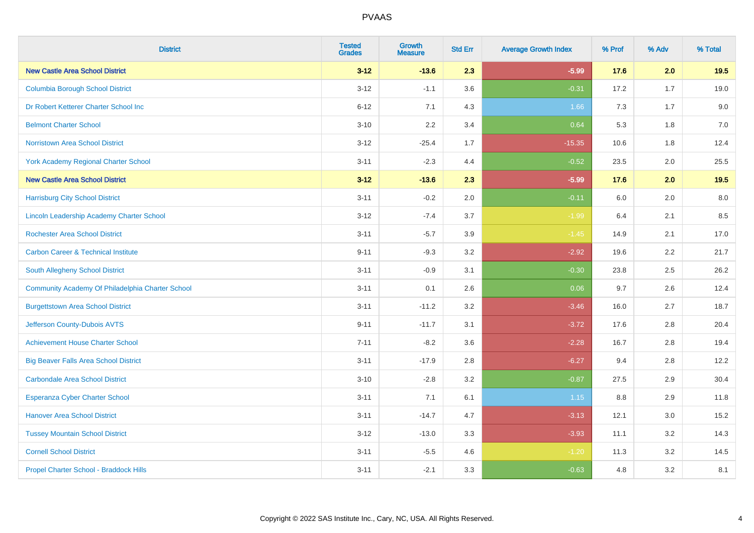| <b>District</b>                                  | <b>Tested</b><br><b>Grades</b> | <b>Growth</b><br><b>Measure</b> | <b>Std Err</b> | <b>Average Growth Index</b> | % Prof | % Adv | % Total |
|--------------------------------------------------|--------------------------------|---------------------------------|----------------|-----------------------------|--------|-------|---------|
| <b>New Castle Area School District</b>           | $3 - 12$                       | $-13.6$                         | 2.3            | $-5.99$                     | 17.6   | 2.0   | 19.5    |
| <b>Columbia Borough School District</b>          | $3 - 12$                       | $-1.1$                          | 3.6            | $-0.31$                     | 17.2   | 1.7   | 19.0    |
| Dr Robert Ketterer Charter School Inc            | $6 - 12$                       | 7.1                             | 4.3            | 1.66                        | 7.3    | 1.7   | 9.0     |
| <b>Belmont Charter School</b>                    | $3 - 10$                       | 2.2                             | 3.4            | 0.64                        | 5.3    | 1.8   | $7.0\,$ |
| <b>Norristown Area School District</b>           | $3 - 12$                       | $-25.4$                         | 1.7            | $-15.35$                    | 10.6   | 1.8   | 12.4    |
| York Academy Regional Charter School             | $3 - 11$                       | $-2.3$                          | 4.4            | $-0.52$                     | 23.5   | 2.0   | 25.5    |
| <b>New Castle Area School District</b>           | $3 - 12$                       | $-13.6$                         | 2.3            | $-5.99$                     | 17.6   | 2.0   | 19.5    |
| <b>Harrisburg City School District</b>           | $3 - 11$                       | $-0.2$                          | 2.0            | $-0.11$                     | 6.0    | 2.0   | 8.0     |
| <b>Lincoln Leadership Academy Charter School</b> | $3 - 12$                       | $-7.4$                          | 3.7            | $-1.99$                     | 6.4    | 2.1   | 8.5     |
| <b>Rochester Area School District</b>            | $3 - 11$                       | $-5.7$                          | 3.9            | $-1.45$                     | 14.9   | 2.1   | 17.0    |
| <b>Carbon Career &amp; Technical Institute</b>   | $9 - 11$                       | $-9.3$                          | 3.2            | $-2.92$                     | 19.6   | 2.2   | 21.7    |
| South Allegheny School District                  | $3 - 11$                       | $-0.9$                          | 3.1            | $-0.30$                     | 23.8   | 2.5   | 26.2    |
| Community Academy Of Philadelphia Charter School | $3 - 11$                       | 0.1                             | 2.6            | 0.06                        | 9.7    | 2.6   | 12.4    |
| <b>Burgettstown Area School District</b>         | $3 - 11$                       | $-11.2$                         | 3.2            | $-3.46$                     | 16.0   | 2.7   | 18.7    |
| Jefferson County-Dubois AVTS                     | $9 - 11$                       | $-11.7$                         | 3.1            | $-3.72$                     | 17.6   | 2.8   | 20.4    |
| <b>Achievement House Charter School</b>          | $7 - 11$                       | $-8.2$                          | 3.6            | $-2.28$                     | 16.7   | 2.8   | 19.4    |
| <b>Big Beaver Falls Area School District</b>     | $3 - 11$                       | $-17.9$                         | 2.8            | $-6.27$                     | 9.4    | 2.8   | 12.2    |
| <b>Carbondale Area School District</b>           | $3 - 10$                       | $-2.8$                          | 3.2            | $-0.87$                     | 27.5   | 2.9   | 30.4    |
| <b>Esperanza Cyber Charter School</b>            | $3 - 11$                       | 7.1                             | 6.1            | 1.15                        | 8.8    | 2.9   | 11.8    |
| <b>Hanover Area School District</b>              | $3 - 11$                       | $-14.7$                         | 4.7            | $-3.13$                     | 12.1   | 3.0   | 15.2    |
| <b>Tussey Mountain School District</b>           | $3 - 12$                       | $-13.0$                         | 3.3            | $-3.93$                     | 11.1   | 3.2   | 14.3    |
| <b>Cornell School District</b>                   | $3 - 11$                       | $-5.5$                          | 4.6            | $-1.20$                     | 11.3   | 3.2   | 14.5    |
| Propel Charter School - Braddock Hills           | $3 - 11$                       | $-2.1$                          | 3.3            | $-0.63$                     | 4.8    | 3.2   | 8.1     |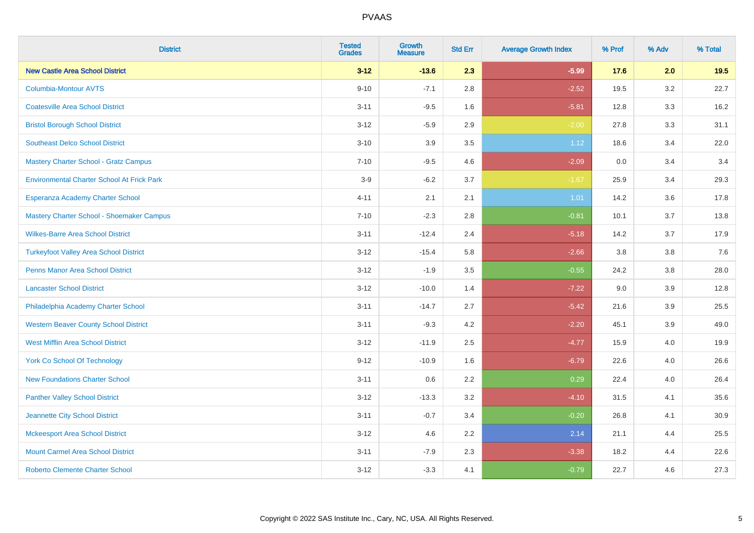| <b>District</b>                                   | <b>Tested</b><br><b>Grades</b> | <b>Growth</b><br><b>Measure</b> | <b>Std Err</b> | <b>Average Growth Index</b> | % Prof | % Adv   | % Total |
|---------------------------------------------------|--------------------------------|---------------------------------|----------------|-----------------------------|--------|---------|---------|
| <b>New Castle Area School District</b>            | $3 - 12$                       | $-13.6$                         | 2.3            | $-5.99$                     | 17.6   | 2.0     | 19.5    |
| <b>Columbia-Montour AVTS</b>                      | $9 - 10$                       | $-7.1$                          | 2.8            | $-2.52$                     | 19.5   | $3.2\,$ | 22.7    |
| <b>Coatesville Area School District</b>           | $3 - 11$                       | $-9.5$                          | 1.6            | $-5.81$                     | 12.8   | 3.3     | 16.2    |
| <b>Bristol Borough School District</b>            | $3 - 12$                       | $-5.9$                          | 2.9            | $-2.00$                     | 27.8   | 3.3     | 31.1    |
| <b>Southeast Delco School District</b>            | $3 - 10$                       | 3.9                             | 3.5            | 1.12                        | 18.6   | 3.4     | 22.0    |
| <b>Mastery Charter School - Gratz Campus</b>      | $7 - 10$                       | $-9.5$                          | 4.6            | $-2.09$                     | 0.0    | 3.4     | 3.4     |
| <b>Environmental Charter School At Frick Park</b> | $3-9$                          | $-6.2$                          | 3.7            | $-1.67$                     | 25.9   | 3.4     | 29.3    |
| Esperanza Academy Charter School                  | $4 - 11$                       | 2.1                             | 2.1            | 1.01                        | 14.2   | 3.6     | 17.8    |
| Mastery Charter School - Shoemaker Campus         | $7 - 10$                       | $-2.3$                          | 2.8            | $-0.81$                     | 10.1   | 3.7     | 13.8    |
| <b>Wilkes-Barre Area School District</b>          | $3 - 11$                       | $-12.4$                         | 2.4            | $-5.18$                     | 14.2   | 3.7     | 17.9    |
| <b>Turkeyfoot Valley Area School District</b>     | $3 - 12$                       | $-15.4$                         | 5.8            | $-2.66$                     | 3.8    | 3.8     | 7.6     |
| <b>Penns Manor Area School District</b>           | $3 - 12$                       | $-1.9$                          | 3.5            | $-0.55$                     | 24.2   | 3.8     | 28.0    |
| <b>Lancaster School District</b>                  | $3 - 12$                       | $-10.0$                         | 1.4            | $-7.22$                     | 9.0    | 3.9     | 12.8    |
| Philadelphia Academy Charter School               | $3 - 11$                       | $-14.7$                         | 2.7            | $-5.42$                     | 21.6   | 3.9     | 25.5    |
| <b>Western Beaver County School District</b>      | $3 - 11$                       | $-9.3$                          | 4.2            | $-2.20$                     | 45.1   | 3.9     | 49.0    |
| <b>West Mifflin Area School District</b>          | $3 - 12$                       | $-11.9$                         | 2.5            | $-4.77$                     | 15.9   | 4.0     | 19.9    |
| <b>York Co School Of Technology</b>               | $9 - 12$                       | $-10.9$                         | 1.6            | $-6.79$                     | 22.6   | 4.0     | 26.6    |
| <b>New Foundations Charter School</b>             | $3 - 11$                       | 0.6                             | 2.2            | 0.29                        | 22.4   | 4.0     | 26.4    |
| <b>Panther Valley School District</b>             | $3 - 12$                       | $-13.3$                         | 3.2            | $-4.10$                     | 31.5   | 4.1     | 35.6    |
| Jeannette City School District                    | $3 - 11$                       | $-0.7$                          | 3.4            | $-0.20$                     | 26.8   | 4.1     | 30.9    |
| <b>Mckeesport Area School District</b>            | $3 - 12$                       | 4.6                             | 2.2            | 2.14                        | 21.1   | 4.4     | 25.5    |
| <b>Mount Carmel Area School District</b>          | $3 - 11$                       | $-7.9$                          | 2.3            | $-3.38$                     | 18.2   | 4.4     | 22.6    |
| <b>Roberto Clemente Charter School</b>            | $3 - 12$                       | $-3.3$                          | 4.1            | $-0.79$                     | 22.7   | 4.6     | 27.3    |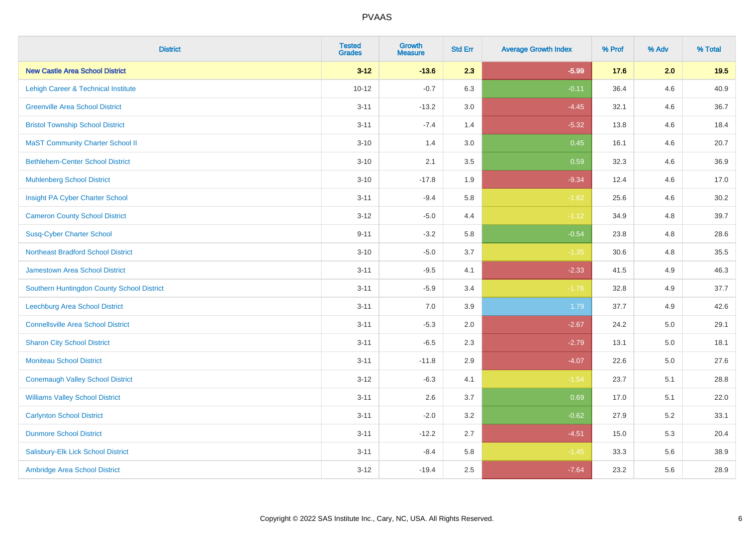| <b>District</b>                            | <b>Tested</b><br><b>Grades</b> | <b>Growth</b><br><b>Measure</b> | <b>Std Err</b> | <b>Average Growth Index</b> | % Prof | % Adv   | % Total |
|--------------------------------------------|--------------------------------|---------------------------------|----------------|-----------------------------|--------|---------|---------|
| <b>New Castle Area School District</b>     | $3 - 12$                       | $-13.6$                         | 2.3            | $-5.99$                     | 17.6   | 2.0     | 19.5    |
| Lehigh Career & Technical Institute        | $10 - 12$                      | $-0.7$                          | 6.3            | $-0.11$                     | 36.4   | 4.6     | 40.9    |
| <b>Greenville Area School District</b>     | $3 - 11$                       | $-13.2$                         | 3.0            | $-4.45$                     | 32.1   | 4.6     | 36.7    |
| <b>Bristol Township School District</b>    | $3 - 11$                       | $-7.4$                          | 1.4            | $-5.32$                     | 13.8   | 4.6     | 18.4    |
| <b>MaST Community Charter School II</b>    | $3 - 10$                       | 1.4                             | 3.0            | 0.45                        | 16.1   | 4.6     | 20.7    |
| <b>Bethlehem-Center School District</b>    | $3 - 10$                       | 2.1                             | 3.5            | 0.59                        | 32.3   | 4.6     | 36.9    |
| <b>Muhlenberg School District</b>          | $3 - 10$                       | $-17.8$                         | 1.9            | $-9.34$                     | 12.4   | 4.6     | 17.0    |
| Insight PA Cyber Charter School            | $3 - 11$                       | $-9.4$                          | 5.8            | $-1.62$                     | 25.6   | 4.6     | 30.2    |
| <b>Cameron County School District</b>      | $3 - 12$                       | $-5.0$                          | 4.4            | $-1.12$                     | 34.9   | 4.8     | 39.7    |
| <b>Susq-Cyber Charter School</b>           | $9 - 11$                       | $-3.2$                          | 5.8            | $-0.54$                     | 23.8   | 4.8     | 28.6    |
| <b>Northeast Bradford School District</b>  | $3 - 10$                       | $-5.0$                          | 3.7            | $-1.35$                     | 30.6   | 4.8     | 35.5    |
| Jamestown Area School District             | $3 - 11$                       | $-9.5$                          | 4.1            | $-2.33$                     | 41.5   | 4.9     | 46.3    |
| Southern Huntingdon County School District | $3 - 11$                       | $-5.9$                          | 3.4            | $-1.76$                     | 32.8   | 4.9     | 37.7    |
| <b>Leechburg Area School District</b>      | $3 - 11$                       | 7.0                             | 3.9            | 1.79                        | 37.7   | 4.9     | 42.6    |
| <b>Connellsville Area School District</b>  | $3 - 11$                       | $-5.3$                          | 2.0            | $-2.67$                     | 24.2   | 5.0     | 29.1    |
| <b>Sharon City School District</b>         | $3 - 11$                       | $-6.5$                          | 2.3            | $-2.79$                     | 13.1   | $5.0\,$ | 18.1    |
| <b>Moniteau School District</b>            | $3 - 11$                       | $-11.8$                         | 2.9            | $-4.07$                     | 22.6   | 5.0     | 27.6    |
| <b>Conemaugh Valley School District</b>    | $3 - 12$                       | $-6.3$                          | 4.1            | $-1.54$                     | 23.7   | 5.1     | 28.8    |
| <b>Williams Valley School District</b>     | $3 - 11$                       | 2.6                             | 3.7            | 0.69                        | 17.0   | 5.1     | 22.0    |
| <b>Carlynton School District</b>           | $3 - 11$                       | $-2.0$                          | 3.2            | $-0.62$                     | 27.9   | 5.2     | 33.1    |
| <b>Dunmore School District</b>             | $3 - 11$                       | $-12.2$                         | 2.7            | $-4.51$                     | 15.0   | 5.3     | 20.4    |
| Salisbury-Elk Lick School District         | $3 - 11$                       | $-8.4$                          | 5.8            | $-1.45$                     | 33.3   | 5.6     | 38.9    |
| Ambridge Area School District              | $3 - 12$                       | $-19.4$                         | 2.5            | $-7.64$                     | 23.2   | 5.6     | 28.9    |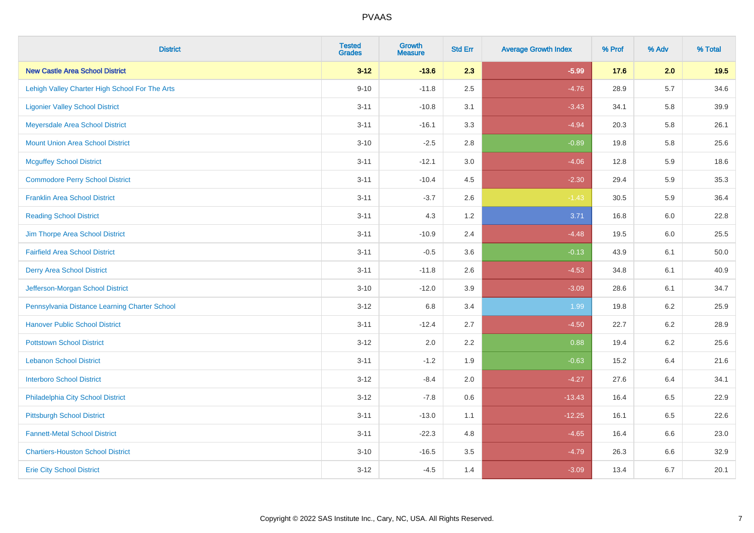| <b>District</b>                                | <b>Tested</b><br><b>Grades</b> | Growth<br><b>Measure</b> | <b>Std Err</b> | <b>Average Growth Index</b> | % Prof | % Adv   | % Total |
|------------------------------------------------|--------------------------------|--------------------------|----------------|-----------------------------|--------|---------|---------|
| <b>New Castle Area School District</b>         | $3 - 12$                       | $-13.6$                  | 2.3            | $-5.99$                     | 17.6   | 2.0     | 19.5    |
| Lehigh Valley Charter High School For The Arts | $9 - 10$                       | $-11.8$                  | 2.5            | $-4.76$                     | 28.9   | $5.7\,$ | 34.6    |
| <b>Ligonier Valley School District</b>         | $3 - 11$                       | $-10.8$                  | 3.1            | $-3.43$                     | 34.1   | 5.8     | 39.9    |
| Meyersdale Area School District                | $3 - 11$                       | $-16.1$                  | 3.3            | $-4.94$                     | 20.3   | 5.8     | 26.1    |
| <b>Mount Union Area School District</b>        | $3 - 10$                       | $-2.5$                   | 2.8            | $-0.89$                     | 19.8   | 5.8     | 25.6    |
| <b>Mcguffey School District</b>                | $3 - 11$                       | $-12.1$                  | 3.0            | $-4.06$                     | 12.8   | 5.9     | 18.6    |
| <b>Commodore Perry School District</b>         | $3 - 11$                       | $-10.4$                  | 4.5            | $-2.30$                     | 29.4   | 5.9     | 35.3    |
| <b>Franklin Area School District</b>           | $3 - 11$                       | $-3.7$                   | 2.6            | $-1.43$                     | 30.5   | 5.9     | 36.4    |
| <b>Reading School District</b>                 | $3 - 11$                       | 4.3                      | 1.2            | 3.71                        | 16.8   | 6.0     | 22.8    |
| Jim Thorpe Area School District                | $3 - 11$                       | $-10.9$                  | 2.4            | $-4.48$                     | 19.5   | 6.0     | 25.5    |
| <b>Fairfield Area School District</b>          | $3 - 11$                       | $-0.5$                   | 3.6            | $-0.13$                     | 43.9   | 6.1     | 50.0    |
| <b>Derry Area School District</b>              | $3 - 11$                       | $-11.8$                  | 2.6            | $-4.53$                     | 34.8   | 6.1     | 40.9    |
| Jefferson-Morgan School District               | $3 - 10$                       | $-12.0$                  | 3.9            | $-3.09$                     | 28.6   | 6.1     | 34.7    |
| Pennsylvania Distance Learning Charter School  | $3 - 12$                       | 6.8                      | 3.4            | 1.99                        | 19.8   | $6.2\,$ | 25.9    |
| <b>Hanover Public School District</b>          | $3 - 11$                       | $-12.4$                  | 2.7            | $-4.50$                     | 22.7   | $6.2\,$ | 28.9    |
| <b>Pottstown School District</b>               | $3 - 12$                       | 2.0                      | 2.2            | 0.88                        | 19.4   | $6.2\,$ | 25.6    |
| <b>Lebanon School District</b>                 | $3 - 11$                       | $-1.2$                   | 1.9            | $-0.63$                     | 15.2   | 6.4     | 21.6    |
| <b>Interboro School District</b>               | $3 - 12$                       | $-8.4$                   | 2.0            | $-4.27$                     | 27.6   | 6.4     | 34.1    |
| Philadelphia City School District              | $3 - 12$                       | $-7.8$                   | 0.6            | $-13.43$                    | 16.4   | 6.5     | 22.9    |
| <b>Pittsburgh School District</b>              | $3 - 11$                       | $-13.0$                  | 1.1            | $-12.25$                    | 16.1   | 6.5     | 22.6    |
| <b>Fannett-Metal School District</b>           | $3 - 11$                       | $-22.3$                  | 4.8            | $-4.65$                     | 16.4   | 6.6     | 23.0    |
| <b>Chartiers-Houston School District</b>       | $3 - 10$                       | $-16.5$                  | 3.5            | $-4.79$                     | 26.3   | $6.6\,$ | 32.9    |
| <b>Erie City School District</b>               | $3 - 12$                       | $-4.5$                   | 1.4            | $-3.09$                     | 13.4   | 6.7     | 20.1    |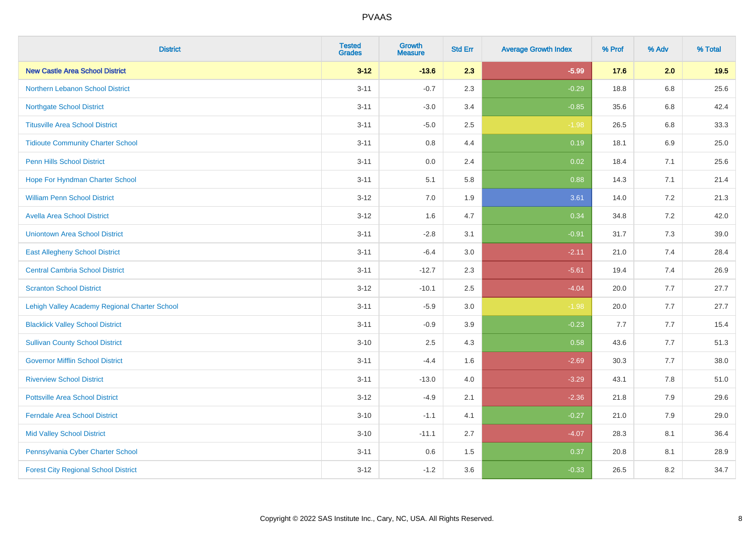| <b>District</b>                               | <b>Tested</b><br><b>Grades</b> | <b>Growth</b><br><b>Measure</b> | <b>Std Err</b> | <b>Average Growth Index</b> | % Prof | % Adv | % Total |
|-----------------------------------------------|--------------------------------|---------------------------------|----------------|-----------------------------|--------|-------|---------|
| <b>New Castle Area School District</b>        | $3 - 12$                       | $-13.6$                         | 2.3            | $-5.99$                     | 17.6   | 2.0   | 19.5    |
| <b>Northern Lebanon School District</b>       | $3 - 11$                       | $-0.7$                          | 2.3            | $-0.29$                     | 18.8   | 6.8   | 25.6    |
| <b>Northgate School District</b>              | $3 - 11$                       | $-3.0$                          | 3.4            | $-0.85$                     | 35.6   | 6.8   | 42.4    |
| <b>Titusville Area School District</b>        | $3 - 11$                       | $-5.0$                          | 2.5            | $-1.98$                     | 26.5   | 6.8   | 33.3    |
| <b>Tidioute Community Charter School</b>      | $3 - 11$                       | 0.8                             | 4.4            | 0.19                        | 18.1   | 6.9   | 25.0    |
| <b>Penn Hills School District</b>             | $3 - 11$                       | 0.0                             | 2.4            | 0.02                        | 18.4   | 7.1   | 25.6    |
| Hope For Hyndman Charter School               | $3 - 11$                       | 5.1                             | 5.8            | 0.88                        | 14.3   | 7.1   | 21.4    |
| <b>William Penn School District</b>           | $3 - 12$                       | 7.0                             | 1.9            | 3.61                        | 14.0   | 7.2   | 21.3    |
| <b>Avella Area School District</b>            | $3 - 12$                       | 1.6                             | 4.7            | 0.34                        | 34.8   | 7.2   | 42.0    |
| <b>Uniontown Area School District</b>         | $3 - 11$                       | $-2.8$                          | 3.1            | $-0.91$                     | 31.7   | 7.3   | 39.0    |
| <b>East Allegheny School District</b>         | $3 - 11$                       | $-6.4$                          | 3.0            | $-2.11$                     | 21.0   | 7.4   | 28.4    |
| <b>Central Cambria School District</b>        | $3 - 11$                       | $-12.7$                         | 2.3            | $-5.61$                     | 19.4   | 7.4   | 26.9    |
| <b>Scranton School District</b>               | $3 - 12$                       | $-10.1$                         | 2.5            | $-4.04$                     | 20.0   | 7.7   | 27.7    |
| Lehigh Valley Academy Regional Charter School | $3 - 11$                       | $-5.9$                          | 3.0            | $-1.98$                     | 20.0   | 7.7   | 27.7    |
| <b>Blacklick Valley School District</b>       | $3 - 11$                       | $-0.9$                          | 3.9            | $-0.23$                     | 7.7    | 7.7   | 15.4    |
| <b>Sullivan County School District</b>        | $3 - 10$                       | 2.5                             | 4.3            | 0.58                        | 43.6   | 7.7   | 51.3    |
| <b>Governor Mifflin School District</b>       | $3 - 11$                       | $-4.4$                          | 1.6            | $-2.69$                     | 30.3   | 7.7   | 38.0    |
| <b>Riverview School District</b>              | $3 - 11$                       | $-13.0$                         | 4.0            | $-3.29$                     | 43.1   | 7.8   | 51.0    |
| <b>Pottsville Area School District</b>        | $3 - 12$                       | $-4.9$                          | 2.1            | $-2.36$                     | 21.8   | 7.9   | 29.6    |
| <b>Ferndale Area School District</b>          | $3 - 10$                       | $-1.1$                          | 4.1            | $-0.27$                     | 21.0   | 7.9   | 29.0    |
| <b>Mid Valley School District</b>             | $3 - 10$                       | $-11.1$                         | 2.7            | $-4.07$                     | 28.3   | 8.1   | 36.4    |
| Pennsylvania Cyber Charter School             | $3 - 11$                       | 0.6                             | 1.5            | 0.37                        | 20.8   | 8.1   | 28.9    |
| <b>Forest City Regional School District</b>   | $3 - 12$                       | $-1.2$                          | 3.6            | $-0.33$                     | 26.5   | 8.2   | 34.7    |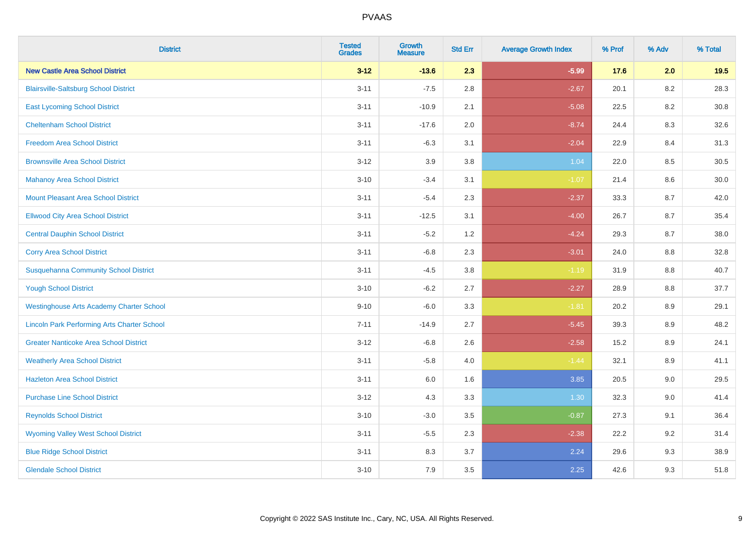| <b>District</b>                                    | <b>Tested</b><br><b>Grades</b> | Growth<br><b>Measure</b> | <b>Std Err</b> | <b>Average Growth Index</b> | % Prof | % Adv   | % Total |
|----------------------------------------------------|--------------------------------|--------------------------|----------------|-----------------------------|--------|---------|---------|
| <b>New Castle Area School District</b>             | $3 - 12$                       | $-13.6$                  | 2.3            | $-5.99$                     | 17.6   | 2.0     | 19.5    |
| <b>Blairsville-Saltsburg School District</b>       | $3 - 11$                       | $-7.5$                   | 2.8            | $-2.67$                     | 20.1   | 8.2     | 28.3    |
| <b>East Lycoming School District</b>               | $3 - 11$                       | $-10.9$                  | 2.1            | $-5.08$                     | 22.5   | 8.2     | 30.8    |
| <b>Cheltenham School District</b>                  | $3 - 11$                       | $-17.6$                  | 2.0            | $-8.74$                     | 24.4   | 8.3     | 32.6    |
| <b>Freedom Area School District</b>                | $3 - 11$                       | $-6.3$                   | 3.1            | $-2.04$                     | 22.9   | 8.4     | 31.3    |
| <b>Brownsville Area School District</b>            | $3 - 12$                       | 3.9                      | 3.8            | 1.04                        | 22.0   | 8.5     | 30.5    |
| <b>Mahanoy Area School District</b>                | $3 - 10$                       | $-3.4$                   | 3.1            | $-1.07$                     | 21.4   | $8.6\,$ | 30.0    |
| <b>Mount Pleasant Area School District</b>         | $3 - 11$                       | $-5.4$                   | 2.3            | $-2.37$                     | 33.3   | 8.7     | 42.0    |
| <b>Ellwood City Area School District</b>           | $3 - 11$                       | $-12.5$                  | 3.1            | $-4.00$                     | 26.7   | 8.7     | 35.4    |
| <b>Central Dauphin School District</b>             | $3 - 11$                       | $-5.2$                   | 1.2            | $-4.24$                     | 29.3   | 8.7     | 38.0    |
| <b>Corry Area School District</b>                  | $3 - 11$                       | $-6.8$                   | 2.3            | $-3.01$                     | 24.0   | 8.8     | 32.8    |
| <b>Susquehanna Community School District</b>       | $3 - 11$                       | $-4.5$                   | 3.8            | $-1.19$                     | 31.9   | 8.8     | 40.7    |
| <b>Yough School District</b>                       | $3 - 10$                       | $-6.2$                   | 2.7            | $-2.27$                     | 28.9   | $8.8\,$ | 37.7    |
| <b>Westinghouse Arts Academy Charter School</b>    | $9 - 10$                       | $-6.0$                   | 3.3            | $-1.81$                     | 20.2   | 8.9     | 29.1    |
| <b>Lincoln Park Performing Arts Charter School</b> | $7 - 11$                       | $-14.9$                  | 2.7            | $-5.45$                     | 39.3   | 8.9     | 48.2    |
| <b>Greater Nanticoke Area School District</b>      | $3 - 12$                       | $-6.8$                   | 2.6            | $-2.58$                     | 15.2   | 8.9     | 24.1    |
| <b>Weatherly Area School District</b>              | $3 - 11$                       | $-5.8$                   | 4.0            | $-1.44$                     | 32.1   | 8.9     | 41.1    |
| <b>Hazleton Area School District</b>               | $3 - 11$                       | $6.0\,$                  | 1.6            | 3.85                        | 20.5   | 9.0     | 29.5    |
| <b>Purchase Line School District</b>               | $3 - 12$                       | 4.3                      | 3.3            | 1.30                        | 32.3   | 9.0     | 41.4    |
| <b>Reynolds School District</b>                    | $3 - 10$                       | $-3.0$                   | 3.5            | $-0.87$                     | 27.3   | 9.1     | 36.4    |
| <b>Wyoming Valley West School District</b>         | $3 - 11$                       | $-5.5$                   | 2.3            | $-2.38$                     | 22.2   | 9.2     | 31.4    |
| <b>Blue Ridge School District</b>                  | $3 - 11$                       | 8.3                      | 3.7            | 2.24                        | 29.6   | 9.3     | 38.9    |
| <b>Glendale School District</b>                    | $3 - 10$                       | 7.9                      | 3.5            | 2.25                        | 42.6   | 9.3     | 51.8    |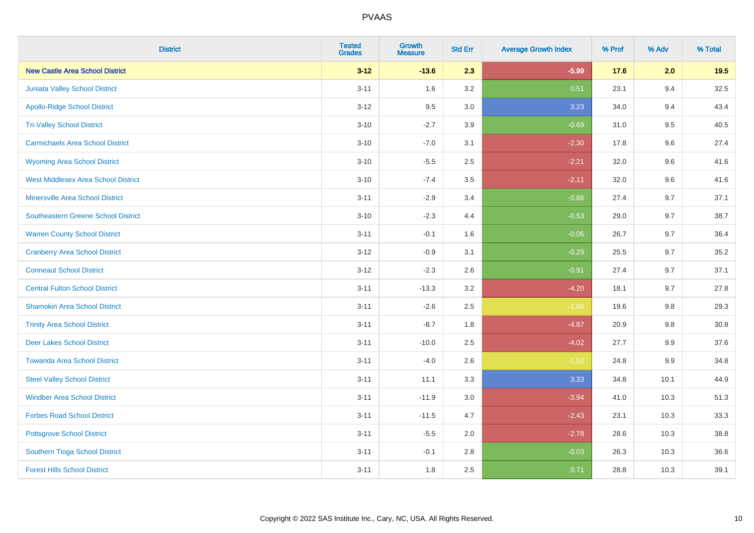| <b>District</b>                            | <b>Tested</b><br><b>Grades</b> | <b>Growth</b><br><b>Measure</b> | <b>Std Err</b> | <b>Average Growth Index</b> | % Prof | % Adv   | % Total  |
|--------------------------------------------|--------------------------------|---------------------------------|----------------|-----------------------------|--------|---------|----------|
| <b>New Castle Area School District</b>     | $3 - 12$                       | $-13.6$                         | 2.3            | $-5.99$                     | 17.6   | 2.0     | 19.5     |
| Juniata Valley School District             | $3 - 11$                       | 1.6                             | 3.2            | 0.51                        | 23.1   | 9.4     | 32.5     |
| <b>Apollo-Ridge School District</b>        | $3 - 12$                       | 9.5                             | 3.0            | 3.23                        | 34.0   | 9.4     | 43.4     |
| <b>Tri-Valley School District</b>          | $3 - 10$                       | $-2.7$                          | 3.9            | $-0.69$                     | 31.0   | 9.5     | 40.5     |
| <b>Carmichaels Area School District</b>    | $3 - 10$                       | $-7.0$                          | 3.1            | $-2.30$                     | 17.8   | 9.6     | 27.4     |
| <b>Wyoming Area School District</b>        | $3 - 10$                       | $-5.5$                          | 2.5            | $-2.21$                     | 32.0   | 9.6     | 41.6     |
| <b>West Middlesex Area School District</b> | $3 - 10$                       | $-7.4$                          | 3.5            | $-2.11$                     | 32.0   | 9.6     | 41.6     |
| <b>Minersville Area School District</b>    | $3 - 11$                       | $-2.9$                          | 3.4            | $-0.86$                     | 27.4   | 9.7     | 37.1     |
| Southeastern Greene School District        | $3 - 10$                       | $-2.3$                          | 4.4            | $-0.53$                     | 29.0   | 9.7     | 38.7     |
| <b>Warren County School District</b>       | $3 - 11$                       | $-0.1$                          | 1.6            | $-0.06$                     | 26.7   | 9.7     | 36.4     |
| <b>Cranberry Area School District</b>      | $3 - 12$                       | $-0.9$                          | 3.1            | $-0.29$                     | 25.5   | 9.7     | 35.2     |
| <b>Conneaut School District</b>            | $3 - 12$                       | $-2.3$                          | 2.6            | $-0.91$                     | 27.4   | 9.7     | 37.1     |
| <b>Central Fulton School District</b>      | $3 - 11$                       | $-13.3$                         | 3.2            | $-4.20$                     | 18.1   | 9.7     | 27.8     |
| <b>Shamokin Area School District</b>       | $3 - 11$                       | $-2.6$                          | 2.5            | $-1.06$                     | 19.6   | 9.8     | 29.3     |
| <b>Trinity Area School District</b>        | $3 - 11$                       | $-8.7$                          | 1.8            | $-4.87$                     | 20.9   | 9.8     | $30.8\,$ |
| <b>Deer Lakes School District</b>          | $3 - 11$                       | $-10.0$                         | 2.5            | $-4.02$                     | 27.7   | 9.9     | 37.6     |
| <b>Towanda Area School District</b>        | $3 - 11$                       | $-4.0$                          | 2.6            | $-1.52$                     | 24.8   | $9.9\,$ | 34.8     |
| <b>Steel Valley School District</b>        | $3 - 11$                       | 11.1                            | 3.3            | 3.33                        | 34.8   | 10.1    | 44.9     |
| <b>Windber Area School District</b>        | $3 - 11$                       | $-11.9$                         | $3.0\,$        | $-3.94$                     | 41.0   | 10.3    | 51.3     |
| <b>Forbes Road School District</b>         | $3 - 11$                       | $-11.5$                         | 4.7            | $-2.43$                     | 23.1   | 10.3    | 33.3     |
| <b>Pottsgrove School District</b>          | $3 - 11$                       | $-5.5$                          | 2.0            | $-2.78$                     | 28.6   | 10.3    | 38.8     |
| Southern Tioga School District             | $3 - 11$                       | $-0.1$                          | 2.8            | $-0.03$                     | 26.3   | 10.3    | 36.6     |
| <b>Forest Hills School District</b>        | $3 - 11$                       | 1.8                             | 2.5            | 0.71                        | 28.8   | 10.3    | 39.1     |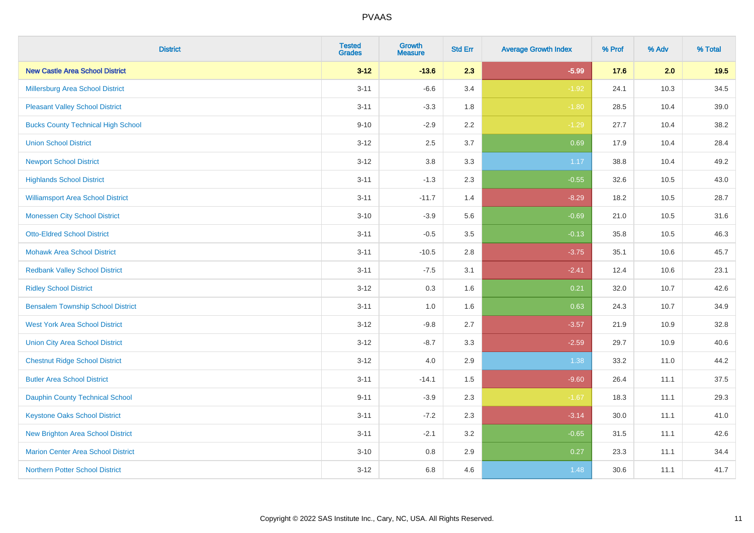| <b>District</b>                           | <b>Tested</b><br><b>Grades</b> | <b>Growth</b><br><b>Measure</b> | <b>Std Err</b> | <b>Average Growth Index</b> | % Prof | % Adv | % Total |
|-------------------------------------------|--------------------------------|---------------------------------|----------------|-----------------------------|--------|-------|---------|
| <b>New Castle Area School District</b>    | $3 - 12$                       | $-13.6$                         | 2.3            | $-5.99$                     | 17.6   | 2.0   | 19.5    |
| Millersburg Area School District          | $3 - 11$                       | $-6.6$                          | 3.4            | $-1.92$                     | 24.1   | 10.3  | 34.5    |
| <b>Pleasant Valley School District</b>    | $3 - 11$                       | $-3.3$                          | 1.8            | $-1.80$                     | 28.5   | 10.4  | 39.0    |
| <b>Bucks County Technical High School</b> | $9 - 10$                       | $-2.9$                          | 2.2            | $-1.29$                     | 27.7   | 10.4  | 38.2    |
| <b>Union School District</b>              | $3-12$                         | 2.5                             | 3.7            | 0.69                        | 17.9   | 10.4  | 28.4    |
| <b>Newport School District</b>            | $3-12$                         | 3.8                             | 3.3            | 1.17                        | 38.8   | 10.4  | 49.2    |
| <b>Highlands School District</b>          | $3 - 11$                       | $-1.3$                          | 2.3            | $-0.55$                     | 32.6   | 10.5  | 43.0    |
| <b>Williamsport Area School District</b>  | $3 - 11$                       | $-11.7$                         | 1.4            | $-8.29$                     | 18.2   | 10.5  | 28.7    |
| <b>Monessen City School District</b>      | $3 - 10$                       | $-3.9$                          | 5.6            | $-0.69$                     | 21.0   | 10.5  | 31.6    |
| <b>Otto-Eldred School District</b>        | $3 - 11$                       | $-0.5$                          | 3.5            | $-0.13$                     | 35.8   | 10.5  | 46.3    |
| <b>Mohawk Area School District</b>        | $3 - 11$                       | $-10.5$                         | 2.8            | $-3.75$                     | 35.1   | 10.6  | 45.7    |
| <b>Redbank Valley School District</b>     | $3 - 11$                       | $-7.5$                          | 3.1            | $-2.41$                     | 12.4   | 10.6  | 23.1    |
| <b>Ridley School District</b>             | $3-12$                         | 0.3                             | 1.6            | 0.21                        | 32.0   | 10.7  | 42.6    |
| <b>Bensalem Township School District</b>  | $3 - 11$                       | $1.0\,$                         | 1.6            | 0.63                        | 24.3   | 10.7  | 34.9    |
| <b>West York Area School District</b>     | $3 - 12$                       | $-9.8$                          | 2.7            | $-3.57$                     | 21.9   | 10.9  | 32.8    |
| <b>Union City Area School District</b>    | $3 - 12$                       | $-8.7$                          | 3.3            | $-2.59$                     | 29.7   | 10.9  | 40.6    |
| <b>Chestnut Ridge School District</b>     | $3-12$                         | 4.0                             | 2.9            | 1.38                        | 33.2   | 11.0  | 44.2    |
| <b>Butler Area School District</b>        | $3 - 11$                       | $-14.1$                         | 1.5            | $-9.60$                     | 26.4   | 11.1  | 37.5    |
| <b>Dauphin County Technical School</b>    | $9 - 11$                       | $-3.9$                          | 2.3            | $-1.67$                     | 18.3   | 11.1  | 29.3    |
| <b>Keystone Oaks School District</b>      | $3 - 11$                       | $-7.2$                          | 2.3            | $-3.14$                     | 30.0   | 11.1  | 41.0    |
| <b>New Brighton Area School District</b>  | $3 - 11$                       | $-2.1$                          | 3.2            | $-0.65$                     | 31.5   | 11.1  | 42.6    |
| <b>Marion Center Area School District</b> | $3 - 10$                       | 0.8                             | 2.9            | 0.27                        | 23.3   | 11.1  | 34.4    |
| Northern Potter School District           | $3 - 12$                       | 6.8                             | 4.6            | 1.48                        | 30.6   | 11.1  | 41.7    |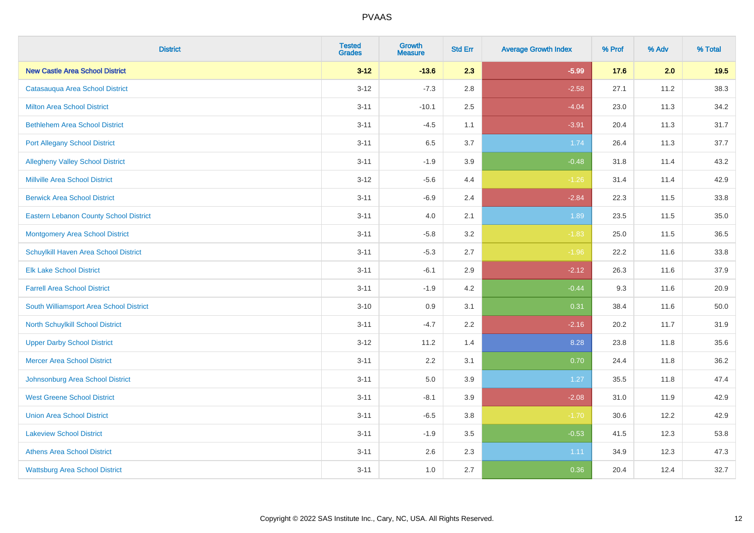| <b>District</b>                               | <b>Tested</b><br><b>Grades</b> | <b>Growth</b><br><b>Measure</b> | <b>Std Err</b> | <b>Average Growth Index</b> | % Prof | % Adv | % Total |
|-----------------------------------------------|--------------------------------|---------------------------------|----------------|-----------------------------|--------|-------|---------|
| <b>New Castle Area School District</b>        | $3 - 12$                       | $-13.6$                         | 2.3            | $-5.99$                     | 17.6   | 2.0   | 19.5    |
| Catasauqua Area School District               | $3 - 12$                       | $-7.3$                          | 2.8            | $-2.58$                     | 27.1   | 11.2  | 38.3    |
| <b>Milton Area School District</b>            | $3 - 11$                       | $-10.1$                         | 2.5            | $-4.04$                     | 23.0   | 11.3  | 34.2    |
| <b>Bethlehem Area School District</b>         | $3 - 11$                       | $-4.5$                          | 1.1            | $-3.91$                     | 20.4   | 11.3  | 31.7    |
| <b>Port Allegany School District</b>          | $3 - 11$                       | 6.5                             | 3.7            | 1.74                        | 26.4   | 11.3  | 37.7    |
| <b>Allegheny Valley School District</b>       | $3 - 11$                       | $-1.9$                          | 3.9            | $-0.48$                     | 31.8   | 11.4  | 43.2    |
| <b>Millville Area School District</b>         | $3 - 12$                       | $-5.6$                          | 4.4            | $-1.26$                     | 31.4   | 11.4  | 42.9    |
| <b>Berwick Area School District</b>           | $3 - 11$                       | $-6.9$                          | 2.4            | $-2.84$                     | 22.3   | 11.5  | 33.8    |
| <b>Eastern Lebanon County School District</b> | $3 - 11$                       | 4.0                             | 2.1            | 1.89                        | 23.5   | 11.5  | 35.0    |
| <b>Montgomery Area School District</b>        | $3 - 11$                       | $-5.8$                          | 3.2            | $-1.83$                     | 25.0   | 11.5  | 36.5    |
| Schuylkill Haven Area School District         | $3 - 11$                       | $-5.3$                          | 2.7            | $-1.96$                     | 22.2   | 11.6  | 33.8    |
| <b>Elk Lake School District</b>               | $3 - 11$                       | $-6.1$                          | 2.9            | $-2.12$                     | 26.3   | 11.6  | 37.9    |
| <b>Farrell Area School District</b>           | $3 - 11$                       | $-1.9$                          | 4.2            | $-0.44$                     | 9.3    | 11.6  | 20.9    |
| South Williamsport Area School District       | $3 - 10$                       | 0.9                             | 3.1            | 0.31                        | 38.4   | 11.6  | 50.0    |
| North Schuylkill School District              | $3 - 11$                       | $-4.7$                          | 2.2            | $-2.16$                     | 20.2   | 11.7  | 31.9    |
| <b>Upper Darby School District</b>            | $3 - 12$                       | 11.2                            | 1.4            | 8.28                        | 23.8   | 11.8  | 35.6    |
| <b>Mercer Area School District</b>            | $3 - 11$                       | 2.2                             | 3.1            | 0.70                        | 24.4   | 11.8  | 36.2    |
| Johnsonburg Area School District              | $3 - 11$                       | 5.0                             | 3.9            | 1.27                        | 35.5   | 11.8  | 47.4    |
| <b>West Greene School District</b>            | $3 - 11$                       | $-8.1$                          | 3.9            | $-2.08$                     | 31.0   | 11.9  | 42.9    |
| <b>Union Area School District</b>             | $3 - 11$                       | $-6.5$                          | 3.8            | $-1.70$                     | 30.6   | 12.2  | 42.9    |
| <b>Lakeview School District</b>               | $3 - 11$                       | $-1.9$                          | 3.5            | $-0.53$                     | 41.5   | 12.3  | 53.8    |
| <b>Athens Area School District</b>            | $3 - 11$                       | 2.6                             | 2.3            | 1.11                        | 34.9   | 12.3  | 47.3    |
| <b>Wattsburg Area School District</b>         | $3 - 11$                       | 1.0                             | 2.7            | 0.36                        | 20.4   | 12.4  | 32.7    |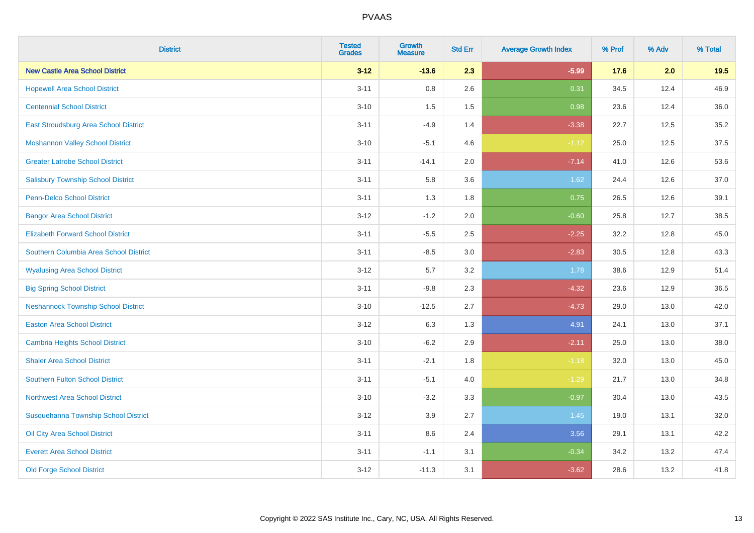| <b>District</b>                            | <b>Tested</b><br><b>Grades</b> | Growth<br><b>Measure</b> | <b>Std Err</b> | <b>Average Growth Index</b> | % Prof | % Adv | % Total |
|--------------------------------------------|--------------------------------|--------------------------|----------------|-----------------------------|--------|-------|---------|
| <b>New Castle Area School District</b>     | $3 - 12$                       | $-13.6$                  | 2.3            | $-5.99$                     | 17.6   | 2.0   | 19.5    |
| <b>Hopewell Area School District</b>       | $3 - 11$                       | 0.8                      | 2.6            | 0.31                        | 34.5   | 12.4  | 46.9    |
| <b>Centennial School District</b>          | $3 - 10$                       | 1.5                      | 1.5            | 0.98                        | 23.6   | 12.4  | 36.0    |
| East Stroudsburg Area School District      | $3 - 11$                       | $-4.9$                   | 1.4            | $-3.38$                     | 22.7   | 12.5  | 35.2    |
| <b>Moshannon Valley School District</b>    | $3 - 10$                       | $-5.1$                   | 4.6            | $-1.12$                     | 25.0   | 12.5  | 37.5    |
| <b>Greater Latrobe School District</b>     | $3 - 11$                       | $-14.1$                  | 2.0            | $-7.14$                     | 41.0   | 12.6  | 53.6    |
| <b>Salisbury Township School District</b>  | $3 - 11$                       | 5.8                      | 3.6            | 1.62                        | 24.4   | 12.6  | 37.0    |
| <b>Penn-Delco School District</b>          | $3 - 11$                       | 1.3                      | 1.8            | 0.75                        | 26.5   | 12.6  | 39.1    |
| <b>Bangor Area School District</b>         | $3 - 12$                       | $-1.2$                   | 2.0            | $-0.60$                     | 25.8   | 12.7  | 38.5    |
| <b>Elizabeth Forward School District</b>   | $3 - 11$                       | $-5.5$                   | 2.5            | $-2.25$                     | 32.2   | 12.8  | 45.0    |
| Southern Columbia Area School District     | $3 - 11$                       | $-8.5$                   | 3.0            | $-2.83$                     | 30.5   | 12.8  | 43.3    |
| <b>Wyalusing Area School District</b>      | $3 - 12$                       | 5.7                      | 3.2            | 1.78                        | 38.6   | 12.9  | 51.4    |
| <b>Big Spring School District</b>          | $3 - 11$                       | $-9.8$                   | 2.3            | $-4.32$                     | 23.6   | 12.9  | 36.5    |
| <b>Neshannock Township School District</b> | $3 - 10$                       | $-12.5$                  | 2.7            | $-4.73$                     | 29.0   | 13.0  | 42.0    |
| <b>Easton Area School District</b>         | $3 - 12$                       | 6.3                      | 1.3            | 4.91                        | 24.1   | 13.0  | 37.1    |
| <b>Cambria Heights School District</b>     | $3 - 10$                       | $-6.2$                   | 2.9            | $-2.11$                     | 25.0   | 13.0  | 38.0    |
| <b>Shaler Area School District</b>         | $3 - 11$                       | $-2.1$                   | 1.8            | $-1.18$                     | 32.0   | 13.0  | 45.0    |
| <b>Southern Fulton School District</b>     | $3 - 11$                       | $-5.1$                   | 4.0            | $-1.29$                     | 21.7   | 13.0  | 34.8    |
| <b>Northwest Area School District</b>      | $3 - 10$                       | $-3.2$                   | 3.3            | $-0.97$                     | 30.4   | 13.0  | 43.5    |
| Susquehanna Township School District       | $3 - 12$                       | 3.9                      | 2.7            | 1.45                        | 19.0   | 13.1  | 32.0    |
| Oil City Area School District              | $3 - 11$                       | 8.6                      | 2.4            | 3.56                        | 29.1   | 13.1  | 42.2    |
| <b>Everett Area School District</b>        | $3 - 11$                       | $-1.1$                   | 3.1            | $-0.34$                     | 34.2   | 13.2  | 47.4    |
| <b>Old Forge School District</b>           | $3 - 12$                       | $-11.3$                  | 3.1            | $-3.62$                     | 28.6   | 13.2  | 41.8    |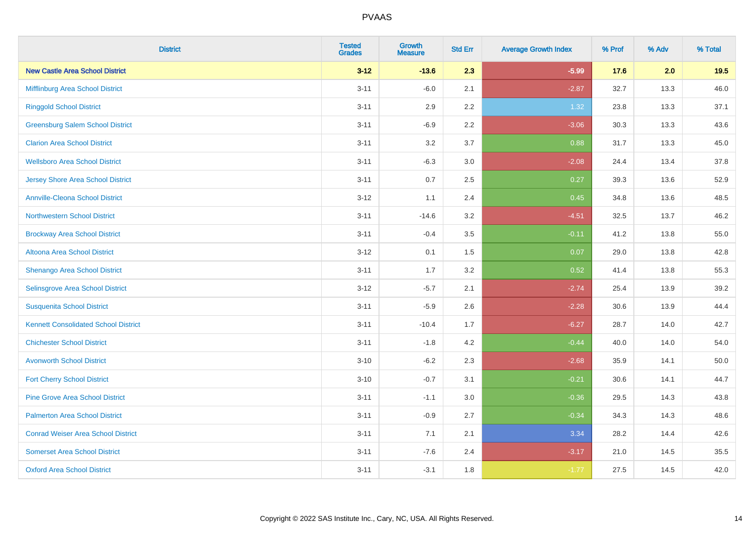| <b>District</b>                             | <b>Tested</b><br><b>Grades</b> | <b>Growth</b><br><b>Measure</b> | <b>Std Err</b> | <b>Average Growth Index</b> | % Prof | % Adv | % Total |
|---------------------------------------------|--------------------------------|---------------------------------|----------------|-----------------------------|--------|-------|---------|
| <b>New Castle Area School District</b>      | $3 - 12$                       | $-13.6$                         | 2.3            | $-5.99$                     | 17.6   | 2.0   | 19.5    |
| Mifflinburg Area School District            | $3 - 11$                       | $-6.0$                          | 2.1            | $-2.87$                     | 32.7   | 13.3  | 46.0    |
| <b>Ringgold School District</b>             | $3 - 11$                       | 2.9                             | 2.2            | 1.32                        | 23.8   | 13.3  | 37.1    |
| <b>Greensburg Salem School District</b>     | $3 - 11$                       | $-6.9$                          | 2.2            | $-3.06$                     | 30.3   | 13.3  | 43.6    |
| <b>Clarion Area School District</b>         | $3 - 11$                       | 3.2                             | 3.7            | 0.88                        | 31.7   | 13.3  | 45.0    |
| <b>Wellsboro Area School District</b>       | $3 - 11$                       | $-6.3$                          | 3.0            | $-2.08$                     | 24.4   | 13.4  | 37.8    |
| <b>Jersey Shore Area School District</b>    | $3 - 11$                       | 0.7                             | 2.5            | 0.27                        | 39.3   | 13.6  | 52.9    |
| <b>Annville-Cleona School District</b>      | $3 - 12$                       | 1.1                             | 2.4            | 0.45                        | 34.8   | 13.6  | 48.5    |
| <b>Northwestern School District</b>         | $3 - 11$                       | $-14.6$                         | 3.2            | $-4.51$                     | 32.5   | 13.7  | 46.2    |
| <b>Brockway Area School District</b>        | $3 - 11$                       | $-0.4$                          | 3.5            | $-0.11$                     | 41.2   | 13.8  | 55.0    |
| Altoona Area School District                | $3 - 12$                       | 0.1                             | 1.5            | 0.07                        | 29.0   | 13.8  | 42.8    |
| Shenango Area School District               | $3 - 11$                       | 1.7                             | 3.2            | 0.52                        | 41.4   | 13.8  | 55.3    |
| Selinsgrove Area School District            | $3 - 12$                       | $-5.7$                          | 2.1            | $-2.74$                     | 25.4   | 13.9  | 39.2    |
| <b>Susquenita School District</b>           | $3 - 11$                       | $-5.9$                          | 2.6            | $-2.28$                     | 30.6   | 13.9  | 44.4    |
| <b>Kennett Consolidated School District</b> | $3 - 11$                       | $-10.4$                         | 1.7            | $-6.27$                     | 28.7   | 14.0  | 42.7    |
| <b>Chichester School District</b>           | $3 - 11$                       | $-1.8$                          | 4.2            | $-0.44$                     | 40.0   | 14.0  | 54.0    |
| <b>Avonworth School District</b>            | $3 - 10$                       | $-6.2$                          | 2.3            | $-2.68$                     | 35.9   | 14.1  | 50.0    |
| <b>Fort Cherry School District</b>          | $3 - 10$                       | $-0.7$                          | 3.1            | $-0.21$                     | 30.6   | 14.1  | 44.7    |
| <b>Pine Grove Area School District</b>      | $3 - 11$                       | $-1.1$                          | 3.0            | $-0.36$                     | 29.5   | 14.3  | 43.8    |
| <b>Palmerton Area School District</b>       | $3 - 11$                       | $-0.9$                          | 2.7            | $-0.34$                     | 34.3   | 14.3  | 48.6    |
| <b>Conrad Weiser Area School District</b>   | $3 - 11$                       | 7.1                             | 2.1            | 3.34                        | 28.2   | 14.4  | 42.6    |
| <b>Somerset Area School District</b>        | $3 - 11$                       | $-7.6$                          | 2.4            | $-3.17$                     | 21.0   | 14.5  | 35.5    |
| <b>Oxford Area School District</b>          | $3 - 11$                       | $-3.1$                          | 1.8            | $-1.77$                     | 27.5   | 14.5  | 42.0    |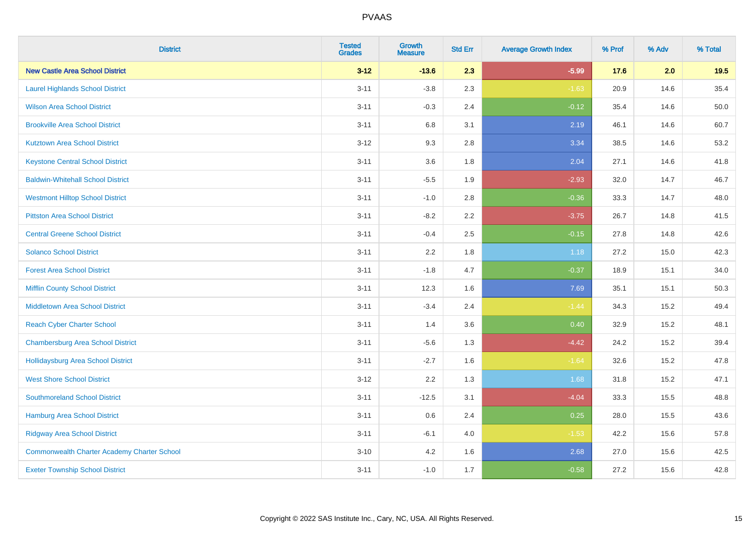| <b>District</b>                                    | <b>Tested</b><br><b>Grades</b> | <b>Growth</b><br><b>Measure</b> | <b>Std Err</b> | <b>Average Growth Index</b> | % Prof | % Adv | % Total |
|----------------------------------------------------|--------------------------------|---------------------------------|----------------|-----------------------------|--------|-------|---------|
| <b>New Castle Area School District</b>             | $3 - 12$                       | $-13.6$                         | 2.3            | $-5.99$                     | 17.6   | 2.0   | 19.5    |
| <b>Laurel Highlands School District</b>            | $3 - 11$                       | $-3.8$                          | 2.3            | $-1.63$                     | 20.9   | 14.6  | 35.4    |
| <b>Wilson Area School District</b>                 | $3 - 11$                       | $-0.3$                          | 2.4            | $-0.12$                     | 35.4   | 14.6  | 50.0    |
| <b>Brookville Area School District</b>             | $3 - 11$                       | 6.8                             | 3.1            | 2.19                        | 46.1   | 14.6  | 60.7    |
| <b>Kutztown Area School District</b>               | $3 - 12$                       | 9.3                             | 2.8            | 3.34                        | 38.5   | 14.6  | 53.2    |
| <b>Keystone Central School District</b>            | $3 - 11$                       | 3.6                             | 1.8            | 2.04                        | 27.1   | 14.6  | 41.8    |
| <b>Baldwin-Whitehall School District</b>           | $3 - 11$                       | $-5.5$                          | 1.9            | $-2.93$                     | 32.0   | 14.7  | 46.7    |
| <b>Westmont Hilltop School District</b>            | $3 - 11$                       | $-1.0$                          | 2.8            | $-0.36$                     | 33.3   | 14.7  | 48.0    |
| <b>Pittston Area School District</b>               | $3 - 11$                       | $-8.2$                          | 2.2            | $-3.75$                     | 26.7   | 14.8  | 41.5    |
| <b>Central Greene School District</b>              | $3 - 11$                       | $-0.4$                          | 2.5            | $-0.15$                     | 27.8   | 14.8  | 42.6    |
| <b>Solanco School District</b>                     | $3 - 11$                       | 2.2                             | 1.8            | 1.18                        | 27.2   | 15.0  | 42.3    |
| <b>Forest Area School District</b>                 | $3 - 11$                       | $-1.8$                          | 4.7            | $-0.37$                     | 18.9   | 15.1  | 34.0    |
| <b>Mifflin County School District</b>              | $3 - 11$                       | 12.3                            | 1.6            | 7.69                        | 35.1   | 15.1  | 50.3    |
| <b>Middletown Area School District</b>             | $3 - 11$                       | $-3.4$                          | 2.4            | $-1.44$                     | 34.3   | 15.2  | 49.4    |
| <b>Reach Cyber Charter School</b>                  | $3 - 11$                       | 1.4                             | 3.6            | 0.40                        | 32.9   | 15.2  | 48.1    |
| <b>Chambersburg Area School District</b>           | $3 - 11$                       | $-5.6$                          | 1.3            | $-4.42$                     | 24.2   | 15.2  | 39.4    |
| <b>Hollidaysburg Area School District</b>          | $3 - 11$                       | $-2.7$                          | 1.6            | $-1.64$                     | 32.6   | 15.2  | 47.8    |
| <b>West Shore School District</b>                  | $3 - 12$                       | 2.2                             | 1.3            | 1.68                        | 31.8   | 15.2  | 47.1    |
| <b>Southmoreland School District</b>               | $3 - 11$                       | $-12.5$                         | 3.1            | $-4.04$                     | 33.3   | 15.5  | 48.8    |
| <b>Hamburg Area School District</b>                | $3 - 11$                       | $0.6\,$                         | 2.4            | 0.25                        | 28.0   | 15.5  | 43.6    |
| <b>Ridgway Area School District</b>                | $3 - 11$                       | $-6.1$                          | 4.0            | $-1.53$                     | 42.2   | 15.6  | 57.8    |
| <b>Commonwealth Charter Academy Charter School</b> | $3 - 10$                       | 4.2                             | 1.6            | 2.68                        | 27.0   | 15.6  | 42.5    |
| <b>Exeter Township School District</b>             | $3 - 11$                       | $-1.0$                          | 1.7            | $-0.58$                     | 27.2   | 15.6  | 42.8    |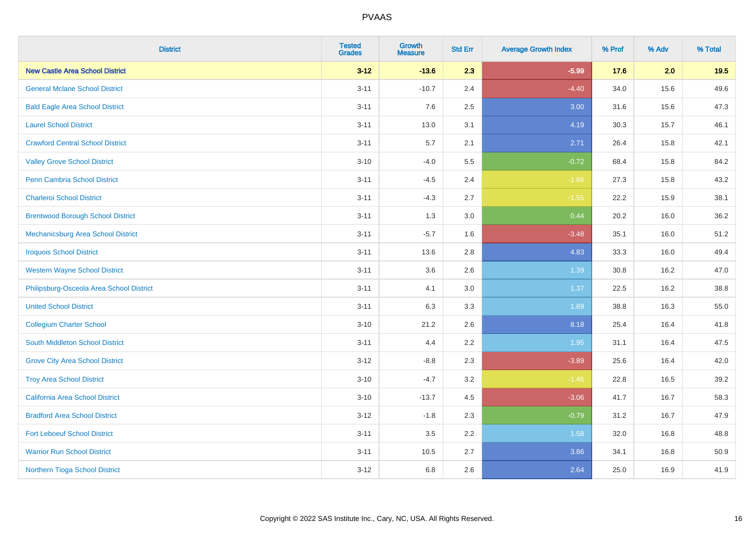| <b>District</b>                           | <b>Tested</b><br><b>Grades</b> | <b>Growth</b><br><b>Measure</b> | <b>Std Err</b> | <b>Average Growth Index</b> | % Prof | % Adv | % Total |
|-------------------------------------------|--------------------------------|---------------------------------|----------------|-----------------------------|--------|-------|---------|
| <b>New Castle Area School District</b>    | $3 - 12$                       | $-13.6$                         | 2.3            | $-5.99$                     | 17.6   | 2.0   | 19.5    |
| <b>General Mclane School District</b>     | $3 - 11$                       | $-10.7$                         | 2.4            | $-4.40$                     | 34.0   | 15.6  | 49.6    |
| <b>Bald Eagle Area School District</b>    | $3 - 11$                       | 7.6                             | 2.5            | 3.00                        | 31.6   | 15.6  | 47.3    |
| <b>Laurel School District</b>             | $3 - 11$                       | 13.0                            | 3.1            | 4.19                        | 30.3   | 15.7  | 46.1    |
| <b>Crawford Central School District</b>   | $3 - 11$                       | 5.7                             | 2.1            | 2.71                        | 26.4   | 15.8  | 42.1    |
| <b>Valley Grove School District</b>       | $3 - 10$                       | $-4.0$                          | 5.5            | $-0.72$                     | 68.4   | 15.8  | 84.2    |
| Penn Cambria School District              | $3 - 11$                       | $-4.5$                          | 2.4            | $-1.86$                     | 27.3   | 15.8  | 43.2    |
| <b>Charleroi School District</b>          | $3 - 11$                       | $-4.3$                          | 2.7            | $-1.55$                     | 22.2   | 15.9  | 38.1    |
| <b>Brentwood Borough School District</b>  | $3 - 11$                       | 1.3                             | 3.0            | 0.44                        | 20.2   | 16.0  | 36.2    |
| <b>Mechanicsburg Area School District</b> | $3 - 11$                       | $-5.7$                          | 1.6            | $-3.48$                     | 35.1   | 16.0  | 51.2    |
| <b>Iroquois School District</b>           | $3 - 11$                       | 13.6                            | 2.8            | 4.83                        | 33.3   | 16.0  | 49.4    |
| <b>Western Wayne School District</b>      | $3 - 11$                       | 3.6                             | 2.6            | 1.39                        | 30.8   | 16.2  | 47.0    |
| Philipsburg-Osceola Area School District  | $3 - 11$                       | 4.1                             | 3.0            | 1.37                        | 22.5   | 16.2  | 38.8    |
| <b>United School District</b>             | $3 - 11$                       | 6.3                             | 3.3            | 1.89                        | 38.8   | 16.3  | 55.0    |
| <b>Collegium Charter School</b>           | $3 - 10$                       | 21.2                            | 2.6            | 8.18                        | 25.4   | 16.4  | 41.8    |
| South Middleton School District           | $3 - 11$                       | 4.4                             | 2.2            | 1.95                        | 31.1   | 16.4  | 47.5    |
| <b>Grove City Area School District</b>    | $3-12$                         | $-8.8$                          | 2.3            | $-3.89$                     | 25.6   | 16.4  | 42.0    |
| <b>Troy Area School District</b>          | $3 - 10$                       | $-4.7$                          | 3.2            | $-1.46$                     | 22.8   | 16.5  | 39.2    |
| <b>California Area School District</b>    | $3 - 10$                       | $-13.7$                         | 4.5            | $-3.06$                     | 41.7   | 16.7  | 58.3    |
| <b>Bradford Area School District</b>      | $3-12$                         | $-1.8$                          | 2.3            | $-0.79$                     | 31.2   | 16.7  | 47.9    |
| <b>Fort Leboeuf School District</b>       | $3 - 11$                       | 3.5                             | 2.2            | 1.58                        | 32.0   | 16.8  | 48.8    |
| <b>Warrior Run School District</b>        | $3 - 11$                       | 10.5                            | 2.7            | 3.86                        | 34.1   | 16.8  | 50.9    |
| Northern Tioga School District            | $3-12$                         | 6.8                             | 2.6            | 2.64                        | 25.0   | 16.9  | 41.9    |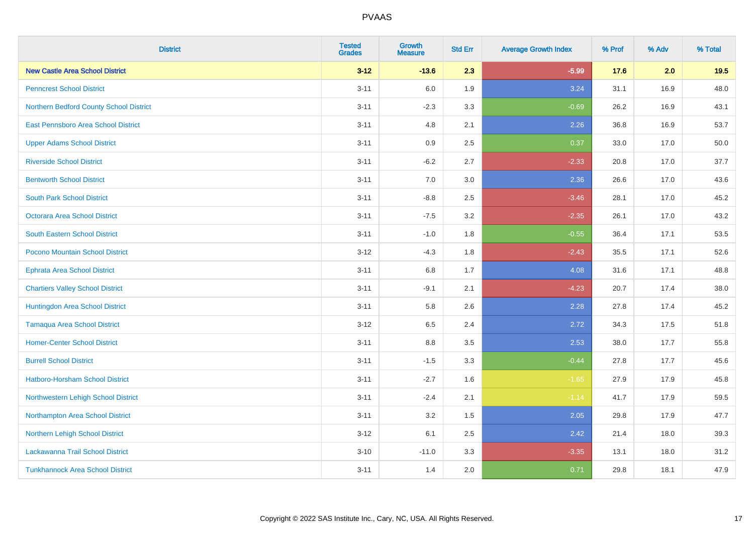| <b>District</b>                         | <b>Tested</b><br><b>Grades</b> | <b>Growth</b><br><b>Measure</b> | <b>Std Err</b> | <b>Average Growth Index</b> | % Prof | % Adv | % Total |
|-----------------------------------------|--------------------------------|---------------------------------|----------------|-----------------------------|--------|-------|---------|
| <b>New Castle Area School District</b>  | $3 - 12$                       | $-13.6$                         | 2.3            | $-5.99$                     | 17.6   | 2.0   | 19.5    |
| <b>Penncrest School District</b>        | $3 - 11$                       | 6.0                             | 1.9            | 3.24                        | 31.1   | 16.9  | 48.0    |
| Northern Bedford County School District | $3 - 11$                       | $-2.3$                          | 3.3            | $-0.69$                     | 26.2   | 16.9  | 43.1    |
| East Pennsboro Area School District     | $3 - 11$                       | 4.8                             | 2.1            | 2.26                        | 36.8   | 16.9  | 53.7    |
| <b>Upper Adams School District</b>      | $3 - 11$                       | 0.9                             | 2.5            | 0.37                        | 33.0   | 17.0  | 50.0    |
| <b>Riverside School District</b>        | $3 - 11$                       | $-6.2$                          | 2.7            | $-2.33$                     | 20.8   | 17.0  | 37.7    |
| <b>Bentworth School District</b>        | $3 - 11$                       | 7.0                             | 3.0            | 2.36                        | 26.6   | 17.0  | 43.6    |
| <b>South Park School District</b>       | $3 - 11$                       | $-8.8$                          | 2.5            | $-3.46$                     | 28.1   | 17.0  | 45.2    |
| <b>Octorara Area School District</b>    | $3 - 11$                       | $-7.5$                          | 3.2            | $-2.35$                     | 26.1   | 17.0  | 43.2    |
| <b>South Eastern School District</b>    | $3 - 11$                       | $-1.0$                          | 1.8            | $-0.55$                     | 36.4   | 17.1  | 53.5    |
| Pocono Mountain School District         | $3 - 12$                       | $-4.3$                          | 1.8            | $-2.43$                     | 35.5   | 17.1  | 52.6    |
| Ephrata Area School District            | $3 - 11$                       | 6.8                             | 1.7            | 4.08                        | 31.6   | 17.1  | 48.8    |
| <b>Chartiers Valley School District</b> | $3 - 11$                       | $-9.1$                          | 2.1            | $-4.23$                     | 20.7   | 17.4  | 38.0    |
| Huntingdon Area School District         | $3 - 11$                       | 5.8                             | 2.6            | 2.28                        | 27.8   | 17.4  | 45.2    |
| <b>Tamaqua Area School District</b>     | $3 - 12$                       | 6.5                             | 2.4            | 2.72                        | 34.3   | 17.5  | 51.8    |
| <b>Homer-Center School District</b>     | $3 - 11$                       | $8.8\,$                         | 3.5            | 2.53                        | 38.0   | 17.7  | 55.8    |
| <b>Burrell School District</b>          | $3 - 11$                       | $-1.5$                          | 3.3            | $-0.44$                     | 27.8   | 17.7  | 45.6    |
| Hatboro-Horsham School District         | $3 - 11$                       | $-2.7$                          | 1.6            | $-1.65$                     | 27.9   | 17.9  | 45.8    |
| Northwestern Lehigh School District     | $3 - 11$                       | $-2.4$                          | 2.1            | $-1.14$                     | 41.7   | 17.9  | 59.5    |
| Northampton Area School District        | $3 - 11$                       | 3.2                             | 1.5            | 2.05                        | 29.8   | 17.9  | 47.7    |
| Northern Lehigh School District         | $3 - 12$                       | 6.1                             | 2.5            | 2.42                        | 21.4   | 18.0  | 39.3    |
| Lackawanna Trail School District        | $3 - 10$                       | $-11.0$                         | 3.3            | $-3.35$                     | 13.1   | 18.0  | 31.2    |
| <b>Tunkhannock Area School District</b> | $3 - 11$                       | 1.4                             | 2.0            | 0.71                        | 29.8   | 18.1  | 47.9    |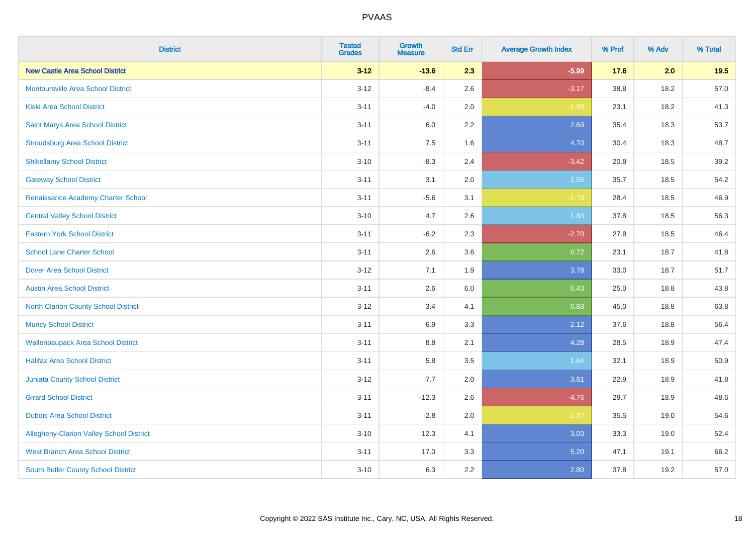| <b>District</b>                                 | <b>Tested</b><br><b>Grades</b> | <b>Growth</b><br><b>Measure</b> | <b>Std Err</b> | <b>Average Growth Index</b> | % Prof | % Adv | % Total |
|-------------------------------------------------|--------------------------------|---------------------------------|----------------|-----------------------------|--------|-------|---------|
| <b>New Castle Area School District</b>          | $3 - 12$                       | $-13.6$                         | 2.3            | $-5.99$                     | 17.6   | 2.0   | 19.5    |
| <b>Montoursville Area School District</b>       | $3 - 12$                       | $-8.4$                          | 2.6            | $-3.17$                     | 38.8   | 18.2  | 57.0    |
| <b>Kiski Area School District</b>               | $3 - 11$                       | $-4.0$                          | 2.0            | $-1.99$                     | 23.1   | 18.2  | 41.3    |
| Saint Marys Area School District                | $3 - 11$                       | 6.0                             | 2.2            | 2.69                        | 35.4   | 18.3  | 53.7    |
| <b>Stroudsburg Area School District</b>         | $3 - 11$                       | 7.5                             | 1.6            | 4.70                        | 30.4   | 18.3  | 48.7    |
| <b>Shikellamy School District</b>               | $3 - 10$                       | $-8.3$                          | 2.4            | $-3.42$                     | 20.8   | 18.5  | 39.2    |
| <b>Gateway School District</b>                  | $3 - 11$                       | 3.1                             | 2.0            | 1.55                        | 35.7   | 18.5  | 54.2    |
| Renaissance Academy Charter School              | $3 - 11$                       | $-5.6$                          | 3.1            | $-1.79$                     | 28.4   | 18.5  | 46.9    |
| <b>Central Valley School District</b>           | $3 - 10$                       | 4.7                             | 2.6            | 1.83                        | 37.8   | 18.5  | 56.3    |
| <b>Eastern York School District</b>             | $3 - 11$                       | $-6.2$                          | 2.3            | $-2.70$                     | 27.8   | 18.5  | 46.4    |
| <b>School Lane Charter School</b>               | $3 - 11$                       | 2.6                             | 3.6            | 0.72                        | 23.1   | 18.7  | 41.8    |
| <b>Dover Area School District</b>               | $3 - 12$                       | 7.1                             | 1.9            | 3.78                        | 33.0   | 18.7  | 51.7    |
| <b>Austin Area School District</b>              | $3 - 11$                       | 2.6                             | 6.0            | 0.43                        | 25.0   | 18.8  | 43.8    |
| <b>North Clarion County School District</b>     | $3 - 12$                       | 3.4                             | 4.1            | 0.83                        | 45.0   | 18.8  | 63.8    |
| <b>Muncy School District</b>                    | $3 - 11$                       | 6.9                             | 3.3            | 2.12                        | 37.6   | 18.8  | 56.4    |
| <b>Wallenpaupack Area School District</b>       | $3 - 11$                       | 8.8                             | 2.1            | 4.28                        | 28.5   | 18.9  | 47.4    |
| <b>Halifax Area School District</b>             | $3 - 11$                       | 5.8                             | 3.5            | 1.64                        | 32.1   | 18.9  | 50.9    |
| Juniata County School District                  | $3 - 12$                       | 7.7                             | 2.0            | 3.81                        | 22.9   | 18.9  | 41.8    |
| <b>Girard School District</b>                   | $3 - 11$                       | $-12.3$                         | 2.6            | $-4.76$                     | 29.7   | 18.9  | 48.6    |
| <b>Dubois Area School District</b>              | $3 - 11$                       | $-2.8$                          | 2.0            | $-1.37$                     | 35.5   | 19.0  | 54.6    |
| <b>Allegheny-Clarion Valley School District</b> | $3 - 10$                       | 12.3                            | 4.1            | 3.03                        | 33.3   | 19.0  | 52.4    |
| <b>West Branch Area School District</b>         | $3 - 11$                       | 17.0                            | 3.3            | 5.20                        | 47.1   | 19.1  | 66.2    |
| South Butler County School District             | $3 - 10$                       | 6.3                             | 2.2            | 2.80                        | 37.8   | 19.2  | 57.0    |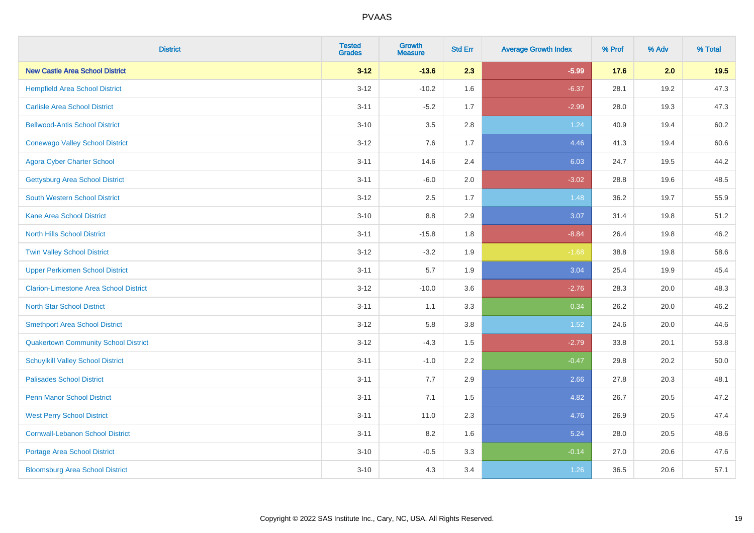| <b>District</b>                               | <b>Tested</b><br><b>Grades</b> | <b>Growth</b><br><b>Measure</b> | <b>Std Err</b> | <b>Average Growth Index</b> | % Prof | % Adv | % Total |
|-----------------------------------------------|--------------------------------|---------------------------------|----------------|-----------------------------|--------|-------|---------|
| <b>New Castle Area School District</b>        | $3 - 12$                       | $-13.6$                         | 2.3            | $-5.99$                     | 17.6   | 2.0   | 19.5    |
| <b>Hempfield Area School District</b>         | $3 - 12$                       | $-10.2$                         | 1.6            | $-6.37$                     | 28.1   | 19.2  | 47.3    |
| <b>Carlisle Area School District</b>          | $3 - 11$                       | $-5.2$                          | 1.7            | $-2.99$                     | 28.0   | 19.3  | 47.3    |
| <b>Bellwood-Antis School District</b>         | $3 - 10$                       | 3.5                             | 2.8            | 1.24                        | 40.9   | 19.4  | 60.2    |
| <b>Conewago Valley School District</b>        | $3 - 12$                       | 7.6                             | 1.7            | 4.46                        | 41.3   | 19.4  | 60.6    |
| <b>Agora Cyber Charter School</b>             | $3 - 11$                       | 14.6                            | 2.4            | 6.03                        | 24.7   | 19.5  | 44.2    |
| <b>Gettysburg Area School District</b>        | $3 - 11$                       | $-6.0$                          | 2.0            | $-3.02$                     | 28.8   | 19.6  | 48.5    |
| <b>South Western School District</b>          | $3 - 12$                       | 2.5                             | 1.7            | 1.48                        | 36.2   | 19.7  | 55.9    |
| <b>Kane Area School District</b>              | $3 - 10$                       | 8.8                             | 2.9            | 3.07                        | 31.4   | 19.8  | 51.2    |
| <b>North Hills School District</b>            | $3 - 11$                       | $-15.8$                         | 1.8            | $-8.84$                     | 26.4   | 19.8  | 46.2    |
| <b>Twin Valley School District</b>            | $3 - 12$                       | $-3.2$                          | 1.9            | $-1.68$                     | 38.8   | 19.8  | 58.6    |
| <b>Upper Perkiomen School District</b>        | $3 - 11$                       | 5.7                             | 1.9            | 3.04                        | 25.4   | 19.9  | 45.4    |
| <b>Clarion-Limestone Area School District</b> | $3 - 12$                       | $-10.0$                         | 3.6            | $-2.76$                     | 28.3   | 20.0  | 48.3    |
| <b>North Star School District</b>             | $3 - 11$                       | 1.1                             | 3.3            | 0.34                        | 26.2   | 20.0  | 46.2    |
| <b>Smethport Area School District</b>         | $3 - 12$                       | 5.8                             | 3.8            | 1.52                        | 24.6   | 20.0  | 44.6    |
| <b>Quakertown Community School District</b>   | $3 - 12$                       | $-4.3$                          | 1.5            | $-2.79$                     | 33.8   | 20.1  | 53.8    |
| <b>Schuylkill Valley School District</b>      | $3 - 11$                       | $-1.0$                          | 2.2            | $-0.47$                     | 29.8   | 20.2  | 50.0    |
| <b>Palisades School District</b>              | $3 - 11$                       | 7.7                             | 2.9            | 2.66                        | 27.8   | 20.3  | 48.1    |
| <b>Penn Manor School District</b>             | $3 - 11$                       | 7.1                             | 1.5            | 4.82                        | 26.7   | 20.5  | 47.2    |
| <b>West Perry School District</b>             | $3 - 11$                       | 11.0                            | 2.3            | 4.76                        | 26.9   | 20.5  | 47.4    |
| <b>Cornwall-Lebanon School District</b>       | $3 - 11$                       | 8.2                             | 1.6            | 5.24                        | 28.0   | 20.5  | 48.6    |
| <b>Portage Area School District</b>           | $3 - 10$                       | $-0.5$                          | 3.3            | $-0.14$                     | 27.0   | 20.6  | 47.6    |
| <b>Bloomsburg Area School District</b>        | $3 - 10$                       | 4.3                             | 3.4            | 1.26                        | 36.5   | 20.6  | 57.1    |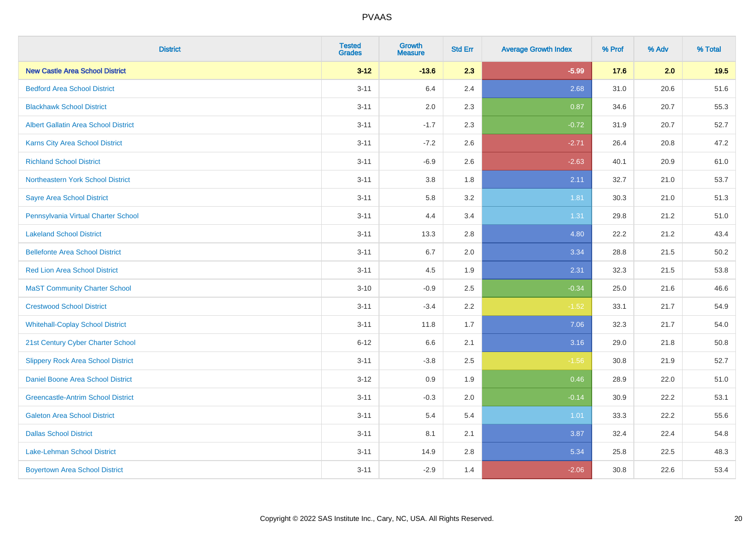| <b>District</b>                             | <b>Tested</b><br><b>Grades</b> | <b>Growth</b><br><b>Measure</b> | <b>Std Err</b> | <b>Average Growth Index</b> | % Prof | % Adv | % Total |
|---------------------------------------------|--------------------------------|---------------------------------|----------------|-----------------------------|--------|-------|---------|
| <b>New Castle Area School District</b>      | $3 - 12$                       | $-13.6$                         | 2.3            | $-5.99$                     | 17.6   | 2.0   | 19.5    |
| <b>Bedford Area School District</b>         | $3 - 11$                       | 6.4                             | 2.4            | 2.68                        | 31.0   | 20.6  | 51.6    |
| <b>Blackhawk School District</b>            | $3 - 11$                       | 2.0                             | 2.3            | 0.87                        | 34.6   | 20.7  | 55.3    |
| <b>Albert Gallatin Area School District</b> | $3 - 11$                       | $-1.7$                          | 2.3            | $-0.72$                     | 31.9   | 20.7  | 52.7    |
| <b>Karns City Area School District</b>      | $3 - 11$                       | $-7.2$                          | 2.6            | $-2.71$                     | 26.4   | 20.8  | 47.2    |
| <b>Richland School District</b>             | $3 - 11$                       | $-6.9$                          | 2.6            | $-2.63$                     | 40.1   | 20.9  | 61.0    |
| Northeastern York School District           | $3 - 11$                       | 3.8                             | 1.8            | 2.11                        | 32.7   | 21.0  | 53.7    |
| <b>Sayre Area School District</b>           | $3 - 11$                       | 5.8                             | 3.2            | 1.81                        | 30.3   | 21.0  | 51.3    |
| Pennsylvania Virtual Charter School         | $3 - 11$                       | 4.4                             | 3.4            | 1.31                        | 29.8   | 21.2  | 51.0    |
| <b>Lakeland School District</b>             | $3 - 11$                       | 13.3                            | 2.8            | 4.80                        | 22.2   | 21.2  | 43.4    |
| <b>Bellefonte Area School District</b>      | $3 - 11$                       | 6.7                             | 2.0            | 3.34                        | 28.8   | 21.5  | 50.2    |
| <b>Red Lion Area School District</b>        | $3 - 11$                       | 4.5                             | 1.9            | 2.31                        | 32.3   | 21.5  | 53.8    |
| <b>MaST Community Charter School</b>        | $3 - 10$                       | $-0.9$                          | 2.5            | $-0.34$                     | 25.0   | 21.6  | 46.6    |
| <b>Crestwood School District</b>            | $3 - 11$                       | $-3.4$                          | 2.2            | $-1.52$                     | 33.1   | 21.7  | 54.9    |
| <b>Whitehall-Coplay School District</b>     | $3 - 11$                       | 11.8                            | 1.7            | 7.06                        | 32.3   | 21.7  | 54.0    |
| 21st Century Cyber Charter School           | $6 - 12$                       | 6.6                             | 2.1            | 3.16                        | 29.0   | 21.8  | 50.8    |
| <b>Slippery Rock Area School District</b>   | $3 - 11$                       | $-3.8$                          | 2.5            | $-1.56$                     | 30.8   | 21.9  | 52.7    |
| Daniel Boone Area School District           | $3 - 12$                       | 0.9                             | 1.9            | 0.46                        | 28.9   | 22.0  | 51.0    |
| <b>Greencastle-Antrim School District</b>   | $3 - 11$                       | $-0.3$                          | 2.0            | $-0.14$                     | 30.9   | 22.2  | 53.1    |
| <b>Galeton Area School District</b>         | $3 - 11$                       | 5.4                             | 5.4            | 1.01                        | 33.3   | 22.2  | 55.6    |
| <b>Dallas School District</b>               | $3 - 11$                       | 8.1                             | 2.1            | 3.87                        | 32.4   | 22.4  | 54.8    |
| Lake-Lehman School District                 | $3 - 11$                       | 14.9                            | 2.8            | 5.34                        | 25.8   | 22.5  | 48.3    |
| <b>Boyertown Area School District</b>       | $3 - 11$                       | $-2.9$                          | 1.4            | $-2.06$                     | 30.8   | 22.6  | 53.4    |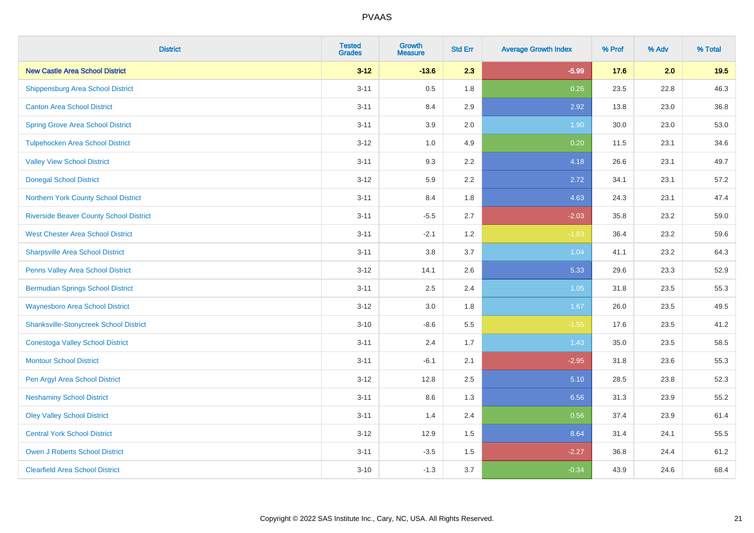| <b>District</b>                                | <b>Tested</b><br><b>Grades</b> | <b>Growth</b><br><b>Measure</b> | <b>Std Err</b> | <b>Average Growth Index</b> | % Prof | % Adv | % Total |
|------------------------------------------------|--------------------------------|---------------------------------|----------------|-----------------------------|--------|-------|---------|
| <b>New Castle Area School District</b>         | $3 - 12$                       | $-13.6$                         | 2.3            | $-5.99$                     | 17.6   | 2.0   | 19.5    |
| <b>Shippensburg Area School District</b>       | $3 - 11$                       | 0.5                             | 1.8            | 0.26                        | 23.5   | 22.8  | 46.3    |
| <b>Canton Area School District</b>             | $3 - 11$                       | 8.4                             | 2.9            | 2.92                        | 13.8   | 23.0  | 36.8    |
| <b>Spring Grove Area School District</b>       | $3 - 11$                       | 3.9                             | 2.0            | 1.90                        | 30.0   | 23.0  | 53.0    |
| <b>Tulpehocken Area School District</b>        | $3 - 12$                       | 1.0                             | 4.9            | 0.20                        | 11.5   | 23.1  | 34.6    |
| <b>Valley View School District</b>             | $3 - 11$                       | 9.3                             | 2.2            | 4.18                        | 26.6   | 23.1  | 49.7    |
| <b>Donegal School District</b>                 | $3 - 12$                       | 5.9                             | 2.2            | 2.72                        | 34.1   | 23.1  | 57.2    |
| Northern York County School District           | $3 - 11$                       | 8.4                             | 1.8            | 4.63                        | 24.3   | 23.1  | 47.4    |
| <b>Riverside Beaver County School District</b> | $3 - 11$                       | $-5.5$                          | 2.7            | $-2.03$                     | 35.8   | 23.2  | 59.0    |
| <b>West Chester Area School District</b>       | $3 - 11$                       | $-2.1$                          | 1.2            | $-1.83$                     | 36.4   | 23.2  | 59.6    |
| <b>Sharpsville Area School District</b>        | $3 - 11$                       | 3.8                             | 3.7            | 1.04                        | 41.1   | 23.2  | 64.3    |
| Penns Valley Area School District              | $3 - 12$                       | 14.1                            | 2.6            | 5.33                        | 29.6   | 23.3  | 52.9    |
| <b>Bermudian Springs School District</b>       | $3 - 11$                       | 2.5                             | 2.4            | 1.05                        | 31.8   | 23.5  | 55.3    |
| <b>Waynesboro Area School District</b>         | $3 - 12$                       | 3.0                             | 1.8            | 1.67                        | 26.0   | 23.5  | 49.5    |
| <b>Shanksville-Stonycreek School District</b>  | $3 - 10$                       | $-8.6$                          | $5.5\,$        | $-1.55$                     | 17.6   | 23.5  | 41.2    |
| <b>Conestoga Valley School District</b>        | $3 - 11$                       | 2.4                             | 1.7            | 1.43                        | 35.0   | 23.5  | 58.5    |
| <b>Montour School District</b>                 | $3 - 11$                       | $-6.1$                          | 2.1            | $-2.95$                     | 31.8   | 23.6  | 55.3    |
| Pen Argyl Area School District                 | $3 - 12$                       | 12.8                            | 2.5            | 5.10                        | 28.5   | 23.8  | 52.3    |
| <b>Neshaminy School District</b>               | $3 - 11$                       | 8.6                             | 1.3            | 6.56                        | 31.3   | 23.9  | 55.2    |
| <b>Oley Valley School District</b>             | $3 - 11$                       | 1.4                             | 2.4            | 0.56                        | 37.4   | 23.9  | 61.4    |
| <b>Central York School District</b>            | $3 - 12$                       | 12.9                            | 1.5            | 8.64                        | 31.4   | 24.1  | 55.5    |
| <b>Owen J Roberts School District</b>          | $3 - 11$                       | $-3.5$                          | 1.5            | $-2.27$                     | 36.8   | 24.4  | 61.2    |
| <b>Clearfield Area School District</b>         | $3 - 10$                       | $-1.3$                          | 3.7            | $-0.34$                     | 43.9   | 24.6  | 68.4    |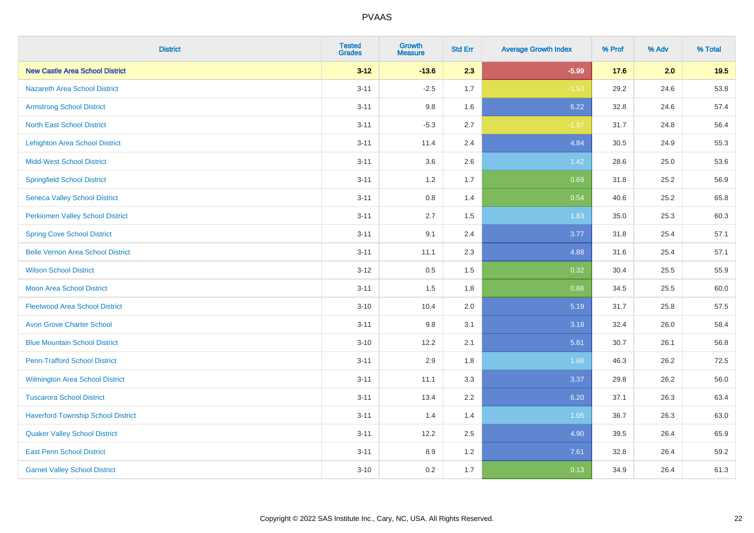| <b>District</b>                           | <b>Tested</b><br><b>Grades</b> | <b>Growth</b><br><b>Measure</b> | <b>Std Err</b> | <b>Average Growth Index</b> | % Prof | % Adv | % Total |
|-------------------------------------------|--------------------------------|---------------------------------|----------------|-----------------------------|--------|-------|---------|
| <b>New Castle Area School District</b>    | $3 - 12$                       | $-13.6$                         | 2.3            | $-5.99$                     | 17.6   | 2.0   | 19.5    |
| <b>Nazareth Area School District</b>      | $3 - 11$                       | $-2.5$                          | 1.7            | $-1.53$                     | 29.2   | 24.6  | 53.8    |
| <b>Armstrong School District</b>          | $3 - 11$                       | 9.8                             | 1.6            | 6.22                        | 32.8   | 24.6  | 57.4    |
| <b>North East School District</b>         | $3 - 11$                       | $-5.3$                          | 2.7            | $-1.97$                     | 31.7   | 24.8  | 56.4    |
| <b>Lehighton Area School District</b>     | $3 - 11$                       | 11.4                            | 2.4            | 4.84                        | 30.5   | 24.9  | 55.3    |
| <b>Midd-West School District</b>          | $3 - 11$                       | 3.6                             | 2.6            | 1.42                        | 28.6   | 25.0  | 53.6    |
| <b>Springfield School District</b>        | $3 - 11$                       | 1.2                             | 1.7            | 0.69                        | 31.8   | 25.2  | 56.9    |
| <b>Seneca Valley School District</b>      | $3 - 11$                       | 0.8                             | 1.4            | 0.54                        | 40.6   | 25.2  | 65.8    |
| <b>Perkiomen Valley School District</b>   | $3 - 11$                       | 2.7                             | 1.5            | 1.83                        | 35.0   | 25.3  | 60.3    |
| <b>Spring Cove School District</b>        | $3 - 11$                       | 9.1                             | 2.4            | 3.77                        | 31.8   | 25.4  | 57.1    |
| <b>Belle Vernon Area School District</b>  | $3 - 11$                       | 11.1                            | 2.3            | 4.88                        | 31.6   | 25.4  | 57.1    |
| <b>Wilson School District</b>             | $3 - 12$                       | 0.5                             | 1.5            | 0.32                        | 30.4   | 25.5  | 55.9    |
| <b>Moon Area School District</b>          | $3 - 11$                       | 1.5                             | 1.8            | 0.86                        | 34.5   | 25.5  | 60.0    |
| <b>Fleetwood Area School District</b>     | $3 - 10$                       | 10.4                            | 2.0            | 5.19                        | 31.7   | 25.8  | 57.5    |
| <b>Avon Grove Charter School</b>          | $3 - 11$                       | 9.8                             | 3.1            | 3.18                        | 32.4   | 26.0  | 58.4    |
| <b>Blue Mountain School District</b>      | $3 - 10$                       | 12.2                            | 2.1            | 5.81                        | 30.7   | 26.1  | 56.8    |
| <b>Penn-Trafford School District</b>      | $3 - 11$                       | 2.9                             | 1.8            | 1.68                        | 46.3   | 26.2  | 72.5    |
| Wilmington Area School District           | $3 - 11$                       | 11.1                            | 3.3            | 3.37                        | 29.8   | 26.2  | 56.0    |
| <b>Tuscarora School District</b>          | $3 - 11$                       | 13.4                            | 2.2            | 6.20                        | 37.1   | 26.3  | 63.4    |
| <b>Haverford Township School District</b> | $3 - 11$                       | 1.4                             | 1.4            | 1.05                        | 36.7   | 26.3  | 63.0    |
| <b>Quaker Valley School District</b>      | $3 - 11$                       | 12.2                            | 2.5            | 4.90                        | 39.5   | 26.4  | 65.9    |
| <b>East Penn School District</b>          | $3 - 11$                       | 8.9                             | 1.2            | 7.61                        | 32.8   | 26.4  | 59.2    |
| <b>Garnet Valley School District</b>      | $3 - 10$                       | 0.2                             | 1.7            | 0.13                        | 34.9   | 26.4  | 61.3    |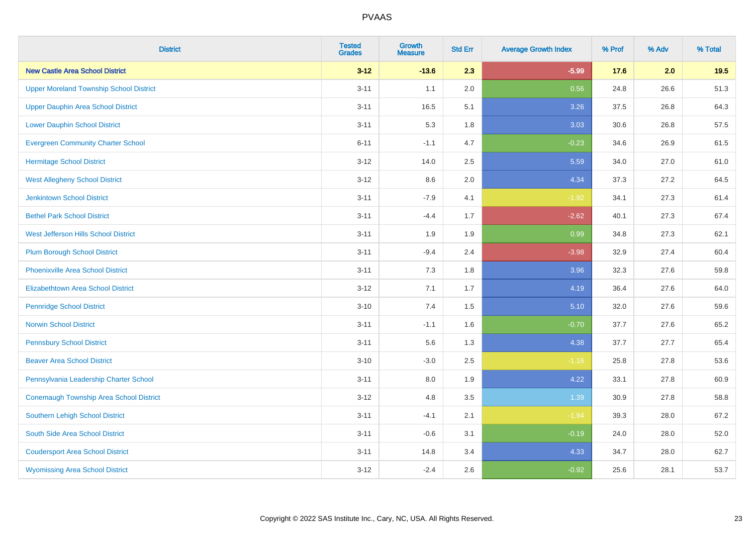| <b>District</b>                                | <b>Tested</b><br><b>Grades</b> | <b>Growth</b><br><b>Measure</b> | <b>Std Err</b> | <b>Average Growth Index</b> | % Prof | % Adv | % Total |
|------------------------------------------------|--------------------------------|---------------------------------|----------------|-----------------------------|--------|-------|---------|
| <b>New Castle Area School District</b>         | $3 - 12$                       | $-13.6$                         | 2.3            | $-5.99$                     | 17.6   | 2.0   | 19.5    |
| <b>Upper Moreland Township School District</b> | $3 - 11$                       | 1.1                             | 2.0            | 0.56                        | 24.8   | 26.6  | 51.3    |
| <b>Upper Dauphin Area School District</b>      | $3 - 11$                       | 16.5                            | 5.1            | 3.26                        | 37.5   | 26.8  | 64.3    |
| <b>Lower Dauphin School District</b>           | $3 - 11$                       | 5.3                             | 1.8            | 3.03                        | 30.6   | 26.8  | 57.5    |
| <b>Evergreen Community Charter School</b>      | $6 - 11$                       | $-1.1$                          | 4.7            | $-0.23$                     | 34.6   | 26.9  | 61.5    |
| <b>Hermitage School District</b>               | $3 - 12$                       | 14.0                            | 2.5            | 5.59                        | 34.0   | 27.0  | 61.0    |
| <b>West Allegheny School District</b>          | $3 - 12$                       | 8.6                             | 2.0            | 4.34                        | 37.3   | 27.2  | 64.5    |
| <b>Jenkintown School District</b>              | $3 - 11$                       | $-7.9$                          | 4.1            | $-1.92$                     | 34.1   | 27.3  | 61.4    |
| <b>Bethel Park School District</b>             | $3 - 11$                       | $-4.4$                          | 1.7            | $-2.62$                     | 40.1   | 27.3  | 67.4    |
| <b>West Jefferson Hills School District</b>    | $3 - 11$                       | 1.9                             | 1.9            | 0.99                        | 34.8   | 27.3  | 62.1    |
| <b>Plum Borough School District</b>            | $3 - 11$                       | $-9.4$                          | 2.4            | $-3.98$                     | 32.9   | 27.4  | 60.4    |
| <b>Phoenixville Area School District</b>       | $3 - 11$                       | 7.3                             | 1.8            | 3.96                        | 32.3   | 27.6  | 59.8    |
| Elizabethtown Area School District             | $3 - 12$                       | 7.1                             | 1.7            | 4.19                        | 36.4   | 27.6  | 64.0    |
| <b>Pennridge School District</b>               | $3 - 10$                       | 7.4                             | 1.5            | 5.10                        | 32.0   | 27.6  | 59.6    |
| <b>Norwin School District</b>                  | $3 - 11$                       | $-1.1$                          | 1.6            | $-0.70$                     | 37.7   | 27.6  | 65.2    |
| <b>Pennsbury School District</b>               | $3 - 11$                       | 5.6                             | 1.3            | 4.38                        | 37.7   | 27.7  | 65.4    |
| <b>Beaver Area School District</b>             | $3 - 10$                       | $-3.0$                          | 2.5            | $-1.16$                     | 25.8   | 27.8  | 53.6    |
| Pennsylvania Leadership Charter School         | $3 - 11$                       | 8.0                             | 1.9            | 4.22                        | 33.1   | 27.8  | 60.9    |
| Conemaugh Township Area School District        | $3 - 12$                       | 4.8                             | 3.5            | 1.39                        | 30.9   | 27.8  | 58.8    |
| <b>Southern Lehigh School District</b>         | $3 - 11$                       | $-4.1$                          | 2.1            | $-1.94$                     | 39.3   | 28.0  | 67.2    |
| South Side Area School District                | $3 - 11$                       | $-0.6$                          | 3.1            | $-0.19$                     | 24.0   | 28.0  | 52.0    |
| <b>Coudersport Area School District</b>        | $3 - 11$                       | 14.8                            | 3.4            | 4.33                        | 34.7   | 28.0  | 62.7    |
| <b>Wyomissing Area School District</b>         | $3 - 12$                       | $-2.4$                          | 2.6            | $-0.92$                     | 25.6   | 28.1  | 53.7    |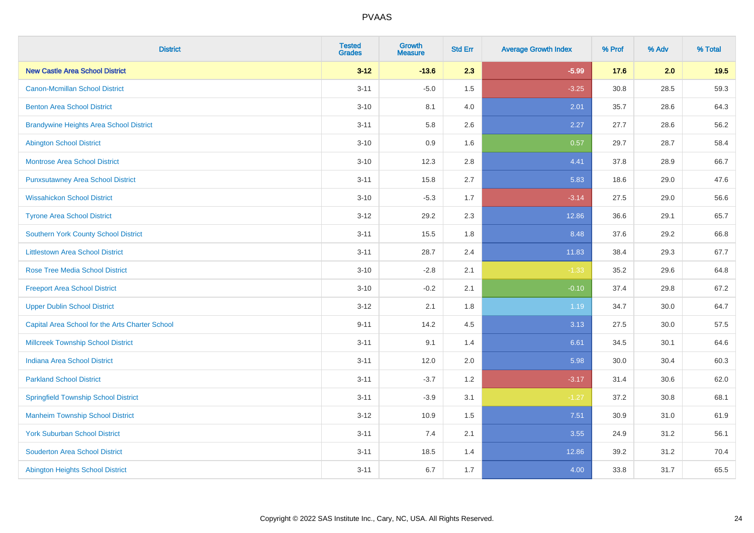| <b>District</b>                                 | <b>Tested</b><br><b>Grades</b> | <b>Growth</b><br><b>Measure</b> | <b>Std Err</b> | <b>Average Growth Index</b> | % Prof | % Adv | % Total |
|-------------------------------------------------|--------------------------------|---------------------------------|----------------|-----------------------------|--------|-------|---------|
| <b>New Castle Area School District</b>          | $3 - 12$                       | $-13.6$                         | 2.3            | $-5.99$                     | 17.6   | 2.0   | 19.5    |
| <b>Canon-Mcmillan School District</b>           | $3 - 11$                       | $-5.0$                          | 1.5            | $-3.25$                     | 30.8   | 28.5  | 59.3    |
| <b>Benton Area School District</b>              | $3 - 10$                       | 8.1                             | 4.0            | 2.01                        | 35.7   | 28.6  | 64.3    |
| <b>Brandywine Heights Area School District</b>  | $3 - 11$                       | 5.8                             | 2.6            | 2.27                        | 27.7   | 28.6  | 56.2    |
| <b>Abington School District</b>                 | $3 - 10$                       | 0.9                             | 1.6            | 0.57                        | 29.7   | 28.7  | 58.4    |
| <b>Montrose Area School District</b>            | $3 - 10$                       | 12.3                            | 2.8            | 4.41                        | 37.8   | 28.9  | 66.7    |
| <b>Punxsutawney Area School District</b>        | $3 - 11$                       | 15.8                            | 2.7            | 5.83                        | 18.6   | 29.0  | 47.6    |
| <b>Wissahickon School District</b>              | $3 - 10$                       | $-5.3$                          | 1.7            | $-3.14$                     | 27.5   | 29.0  | 56.6    |
| <b>Tyrone Area School District</b>              | $3 - 12$                       | 29.2                            | 2.3            | 12.86                       | 36.6   | 29.1  | 65.7    |
| <b>Southern York County School District</b>     | $3 - 11$                       | 15.5                            | 1.8            | 8.48                        | 37.6   | 29.2  | 66.8    |
| <b>Littlestown Area School District</b>         | $3 - 11$                       | 28.7                            | 2.4            | 11.83                       | 38.4   | 29.3  | 67.7    |
| <b>Rose Tree Media School District</b>          | $3 - 10$                       | $-2.8$                          | 2.1            | $-1.33$                     | 35.2   | 29.6  | 64.8    |
| <b>Freeport Area School District</b>            | $3 - 10$                       | $-0.2$                          | 2.1            | $-0.10$                     | 37.4   | 29.8  | 67.2    |
| <b>Upper Dublin School District</b>             | $3-12$                         | 2.1                             | 1.8            | 1.19                        | 34.7   | 30.0  | 64.7    |
| Capital Area School for the Arts Charter School | $9 - 11$                       | 14.2                            | 4.5            | 3.13                        | 27.5   | 30.0  | 57.5    |
| <b>Millcreek Township School District</b>       | $3 - 11$                       | 9.1                             | 1.4            | 6.61                        | 34.5   | 30.1  | 64.6    |
| <b>Indiana Area School District</b>             | $3 - 11$                       | 12.0                            | 2.0            | 5.98                        | 30.0   | 30.4  | 60.3    |
| <b>Parkland School District</b>                 | $3 - 11$                       | $-3.7$                          | 1.2            | $-3.17$                     | 31.4   | 30.6  | 62.0    |
| <b>Springfield Township School District</b>     | $3 - 11$                       | $-3.9$                          | 3.1            | $-1.27$                     | 37.2   | 30.8  | 68.1    |
| <b>Manheim Township School District</b>         | $3-12$                         | 10.9                            | 1.5            | 7.51                        | 30.9   | 31.0  | 61.9    |
| <b>York Suburban School District</b>            | $3 - 11$                       | 7.4                             | 2.1            | 3.55                        | 24.9   | 31.2  | 56.1    |
| <b>Souderton Area School District</b>           | $3 - 11$                       | 18.5                            | 1.4            | 12.86                       | 39.2   | 31.2  | 70.4    |
| <b>Abington Heights School District</b>         | $3 - 11$                       | 6.7                             | 1.7            | 4.00                        | 33.8   | 31.7  | 65.5    |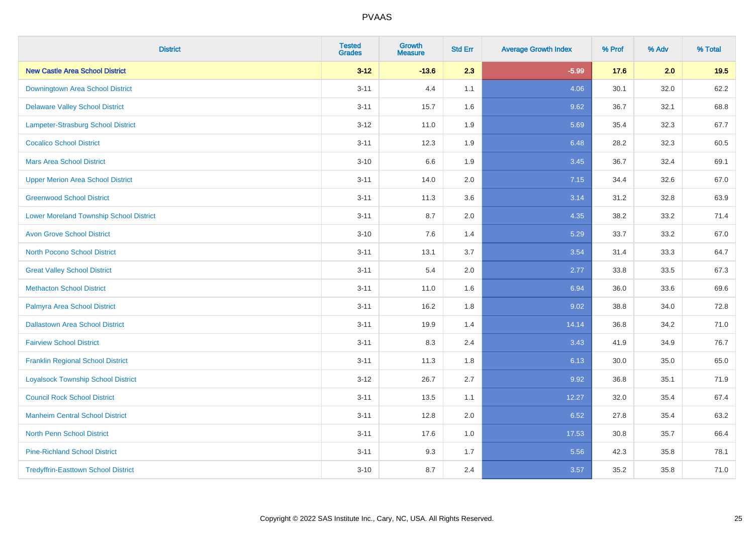| <b>District</b>                                | <b>Tested</b><br><b>Grades</b> | <b>Growth</b><br><b>Measure</b> | <b>Std Err</b> | <b>Average Growth Index</b> | % Prof | % Adv | % Total |
|------------------------------------------------|--------------------------------|---------------------------------|----------------|-----------------------------|--------|-------|---------|
| <b>New Castle Area School District</b>         | $3 - 12$                       | $-13.6$                         | 2.3            | $-5.99$                     | 17.6   | 2.0   | 19.5    |
| Downingtown Area School District               | $3 - 11$                       | 4.4                             | 1.1            | 4.06                        | 30.1   | 32.0  | 62.2    |
| <b>Delaware Valley School District</b>         | $3 - 11$                       | 15.7                            | 1.6            | 9.62                        | 36.7   | 32.1  | 68.8    |
| <b>Lampeter-Strasburg School District</b>      | $3 - 12$                       | 11.0                            | 1.9            | 5.69                        | 35.4   | 32.3  | 67.7    |
| <b>Cocalico School District</b>                | $3 - 11$                       | 12.3                            | 1.9            | 6.48                        | 28.2   | 32.3  | 60.5    |
| <b>Mars Area School District</b>               | $3 - 10$                       | 6.6                             | 1.9            | 3.45                        | 36.7   | 32.4  | 69.1    |
| <b>Upper Merion Area School District</b>       | $3 - 11$                       | 14.0                            | 2.0            | 7.15                        | 34.4   | 32.6  | 67.0    |
| <b>Greenwood School District</b>               | $3 - 11$                       | 11.3                            | 3.6            | 3.14                        | 31.2   | 32.8  | 63.9    |
| <b>Lower Moreland Township School District</b> | $3 - 11$                       | 8.7                             | 2.0            | 4.35                        | 38.2   | 33.2  | 71.4    |
| <b>Avon Grove School District</b>              | $3 - 10$                       | 7.6                             | 1.4            | 5.29                        | 33.7   | 33.2  | 67.0    |
| <b>North Pocono School District</b>            | $3 - 11$                       | 13.1                            | 3.7            | 3.54                        | 31.4   | 33.3  | 64.7    |
| <b>Great Valley School District</b>            | $3 - 11$                       | 5.4                             | 2.0            | 2.77                        | 33.8   | 33.5  | 67.3    |
| <b>Methacton School District</b>               | $3 - 11$                       | 11.0                            | 1.6            | 6.94                        | 36.0   | 33.6  | 69.6    |
| Palmyra Area School District                   | $3 - 11$                       | 16.2                            | 1.8            | 9.02                        | 38.8   | 34.0  | 72.8    |
| <b>Dallastown Area School District</b>         | $3 - 11$                       | 19.9                            | 1.4            | 14.14                       | 36.8   | 34.2  | 71.0    |
| <b>Fairview School District</b>                | $3 - 11$                       | 8.3                             | 2.4            | 3.43                        | 41.9   | 34.9  | 76.7    |
| <b>Franklin Regional School District</b>       | $3 - 11$                       | 11.3                            | 1.8            | 6.13                        | 30.0   | 35.0  | 65.0    |
| <b>Loyalsock Township School District</b>      | $3-12$                         | 26.7                            | 2.7            | 9.92                        | 36.8   | 35.1  | 71.9    |
| <b>Council Rock School District</b>            | $3 - 11$                       | 13.5                            | 1.1            | 12.27                       | 32.0   | 35.4  | 67.4    |
| <b>Manheim Central School District</b>         | $3 - 11$                       | 12.8                            | 2.0            | 6.52                        | 27.8   | 35.4  | 63.2    |
| <b>North Penn School District</b>              | $3 - 11$                       | 17.6                            | 1.0            | 17.53                       | 30.8   | 35.7  | 66.4    |
| <b>Pine-Richland School District</b>           | $3 - 11$                       | 9.3                             | 1.7            | 5.56                        | 42.3   | 35.8  | 78.1    |
| <b>Tredyffrin-Easttown School District</b>     | $3 - 10$                       | 8.7                             | 2.4            | 3.57                        | 35.2   | 35.8  | 71.0    |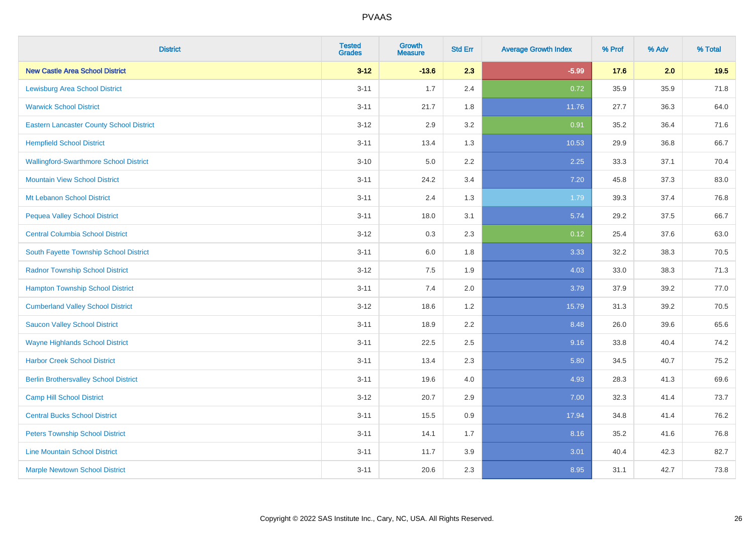| <b>District</b>                                 | <b>Tested</b><br><b>Grades</b> | <b>Growth</b><br><b>Measure</b> | <b>Std Err</b> | <b>Average Growth Index</b> | % Prof | % Adv | % Total |
|-------------------------------------------------|--------------------------------|---------------------------------|----------------|-----------------------------|--------|-------|---------|
| <b>New Castle Area School District</b>          | $3 - 12$                       | $-13.6$                         | 2.3            | $-5.99$                     | 17.6   | 2.0   | 19.5    |
| <b>Lewisburg Area School District</b>           | $3 - 11$                       | 1.7                             | 2.4            | 0.72                        | 35.9   | 35.9  | 71.8    |
| <b>Warwick School District</b>                  | $3 - 11$                       | 21.7                            | 1.8            | 11.76                       | 27.7   | 36.3  | 64.0    |
| <b>Eastern Lancaster County School District</b> | $3 - 12$                       | 2.9                             | 3.2            | 0.91                        | 35.2   | 36.4  | 71.6    |
| <b>Hempfield School District</b>                | $3 - 11$                       | 13.4                            | 1.3            | 10.53                       | 29.9   | 36.8  | 66.7    |
| <b>Wallingford-Swarthmore School District</b>   | $3 - 10$                       | 5.0                             | 2.2            | 2.25                        | 33.3   | 37.1  | 70.4    |
| <b>Mountain View School District</b>            | $3 - 11$                       | 24.2                            | 3.4            | 7.20                        | 45.8   | 37.3  | 83.0    |
| <b>Mt Lebanon School District</b>               | $3 - 11$                       | 2.4                             | 1.3            | 1.79                        | 39.3   | 37.4  | 76.8    |
| <b>Pequea Valley School District</b>            | $3 - 11$                       | 18.0                            | 3.1            | 5.74                        | 29.2   | 37.5  | 66.7    |
| <b>Central Columbia School District</b>         | $3 - 12$                       | 0.3                             | 2.3            | 0.12                        | 25.4   | 37.6  | 63.0    |
| South Fayette Township School District          | $3 - 11$                       | 6.0                             | 1.8            | 3.33                        | 32.2   | 38.3  | 70.5    |
| <b>Radnor Township School District</b>          | $3 - 12$                       | 7.5                             | 1.9            | 4.03                        | 33.0   | 38.3  | 71.3    |
| <b>Hampton Township School District</b>         | $3 - 11$                       | $7.4$                           | 2.0            | 3.79                        | 37.9   | 39.2  | 77.0    |
| <b>Cumberland Valley School District</b>        | $3 - 12$                       | 18.6                            | 1.2            | 15.79                       | 31.3   | 39.2  | 70.5    |
| <b>Saucon Valley School District</b>            | $3 - 11$                       | 18.9                            | 2.2            | 8.48                        | 26.0   | 39.6  | 65.6    |
| <b>Wayne Highlands School District</b>          | $3 - 11$                       | 22.5                            | 2.5            | 9.16                        | 33.8   | 40.4  | 74.2    |
| <b>Harbor Creek School District</b>             | $3 - 11$                       | 13.4                            | 2.3            | 5.80                        | 34.5   | 40.7  | 75.2    |
| <b>Berlin Brothersvalley School District</b>    | $3 - 11$                       | 19.6                            | 4.0            | 4.93                        | 28.3   | 41.3  | 69.6    |
| <b>Camp Hill School District</b>                | $3 - 12$                       | 20.7                            | 2.9            | 7.00                        | 32.3   | 41.4  | 73.7    |
| <b>Central Bucks School District</b>            | $3 - 11$                       | 15.5                            | 0.9            | 17.94                       | 34.8   | 41.4  | 76.2    |
| <b>Peters Township School District</b>          | $3 - 11$                       | 14.1                            | 1.7            | 8.16                        | 35.2   | 41.6  | 76.8    |
| <b>Line Mountain School District</b>            | $3 - 11$                       | 11.7                            | 3.9            | 3.01                        | 40.4   | 42.3  | 82.7    |
| <b>Marple Newtown School District</b>           | $3 - 11$                       | 20.6                            | 2.3            | 8.95                        | 31.1   | 42.7  | 73.8    |